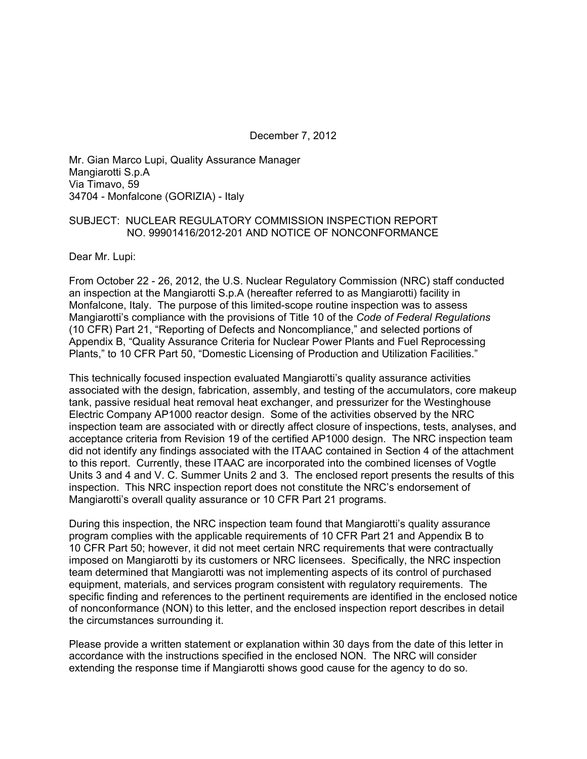December 7, 2012

Mr. Gian Marco Lupi, Quality Assurance Manager Mangiarotti S.p.A Via Timavo, 59 34704 - Monfalcone (GORIZIA) - Italy

#### SUBJECT: NUCLEAR REGULATORY COMMISSION INSPECTION REPORT NO. 99901416/2012-201 AND NOTICE OF NONCONFORMANCE

Dear Mr. Lupi:

From October 22 - 26, 2012, the U.S. Nuclear Regulatory Commission (NRC) staff conducted an inspection at the Mangiarotti S.p.A (hereafter referred to as Mangiarotti) facility in Monfalcone, Italy. The purpose of this limited-scope routine inspection was to assess Mangiarotti's compliance with the provisions of Title 10 of the *Code of Federal Regulations* (10 CFR) Part 21, "Reporting of Defects and Noncompliance," and selected portions of Appendix B, "Quality Assurance Criteria for Nuclear Power Plants and Fuel Reprocessing Plants," to 10 CFR Part 50, "Domestic Licensing of Production and Utilization Facilities."

This technically focused inspection evaluated Mangiarotti's quality assurance activities associated with the design, fabrication, assembly, and testing of the accumulators, core makeup tank, passive residual heat removal heat exchanger, and pressurizer for the Westinghouse Electric Company AP1000 reactor design. Some of the activities observed by the NRC inspection team are associated with or directly affect closure of inspections, tests, analyses, and acceptance criteria from Revision 19 of the certified AP1000 design. The NRC inspection team did not identify any findings associated with the ITAAC contained in Section 4 of the attachment to this report. Currently, these ITAAC are incorporated into the combined licenses of Vogtle Units 3 and 4 and V. C. Summer Units 2 and 3. The enclosed report presents the results of this inspection. This NRC inspection report does not constitute the NRC's endorsement of Mangiarotti's overall quality assurance or 10 CFR Part 21 programs.

During this inspection, the NRC inspection team found that Mangiarotti's quality assurance program complies with the applicable requirements of 10 CFR Part 21 and Appendix B to 10 CFR Part 50; however, it did not meet certain NRC requirements that were contractually imposed on Mangiarotti by its customers or NRC licensees. Specifically, the NRC inspection team determined that Mangiarotti was not implementing aspects of its control of purchased equipment, materials, and services program consistent with regulatory requirements. The specific finding and references to the pertinent requirements are identified in the enclosed notice of nonconformance (NON) to this letter, and the enclosed inspection report describes in detail the circumstances surrounding it.

Please provide a written statement or explanation within 30 days from the date of this letter in accordance with the instructions specified in the enclosed NON. The NRC will consider extending the response time if Mangiarotti shows good cause for the agency to do so.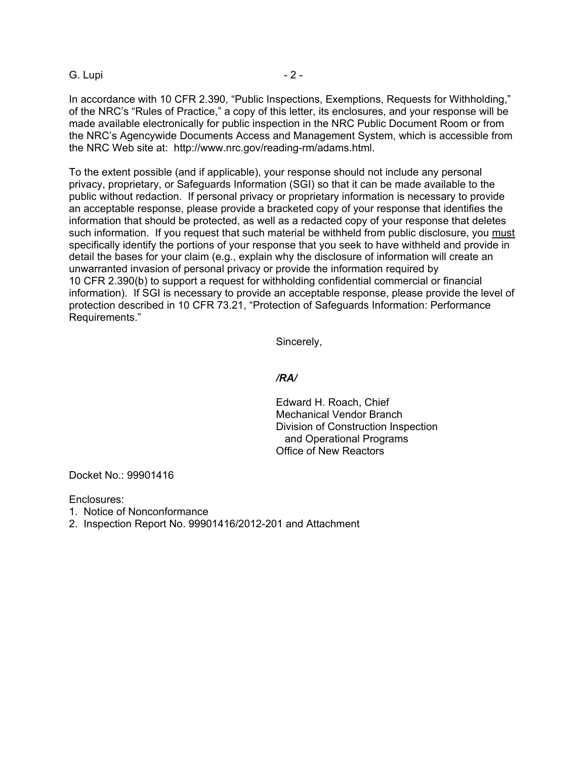#### G. Lupi - 2 -

In accordance with 10 CFR 2.390, "Public Inspections, Exemptions, Requests for Withholding," of the NRC's "Rules of Practice," a copy of this letter, its enclosures, and your response will be made available electronically for public inspection in the NRC Public Document Room or from the NRC's Agencywide Documents Access and Management System, which is accessible from the NRC Web site at: http://www.nrc.gov/reading-rm/adams.html.

To the extent possible (and if applicable), your response should not include any personal privacy, proprietary, or Safeguards Information (SGI) so that it can be made available to the public without redaction. If personal privacy or proprietary information is necessary to provide an acceptable response, please provide a bracketed copy of your response that identifies the information that should be protected, as well as a redacted copy of your response that deletes such information. If you request that such material be withheld from public disclosure, you must specifically identify the portions of your response that you seek to have withheld and provide in detail the bases for your claim (e.g., explain why the disclosure of information will create an unwarranted invasion of personal privacy or provide the information required by 10 CFR 2.390(b) to support a request for withholding confidential commercial or financial information). If SGI is necessary to provide an acceptable response, please provide the level of protection described in 10 CFR 73.21, "Protection of Safeguards Information: Performance Requirements."

Sincerely,

#### */RA/*

Edward H. Roach, Chief Mechanical Vendor Branch Division of Construction Inspection and Operational Programs Office of New Reactors

Docket No.: 99901416

Enclosures:

1. Notice of Nonconformance

2. Inspection Report No. 99901416/2012-201 and Attachment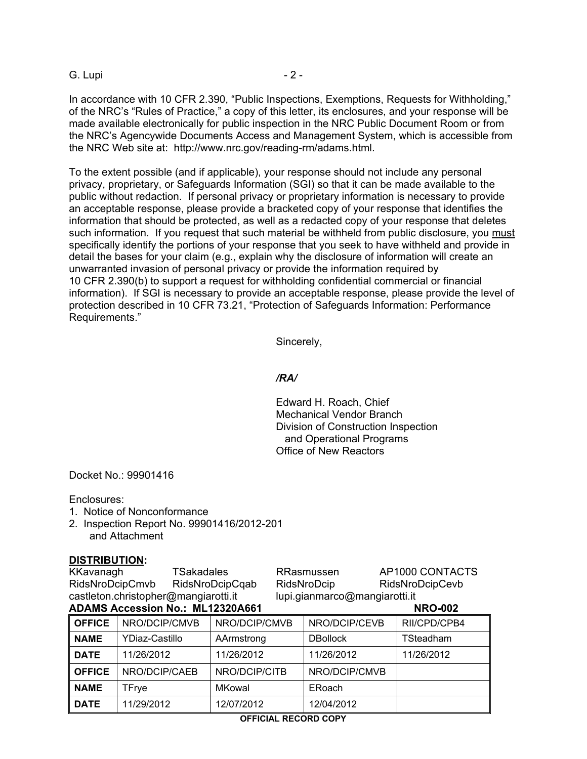#### G. Lupi - 2 -

In accordance with 10 CFR 2.390, "Public Inspections, Exemptions, Requests for Withholding," of the NRC's "Rules of Practice," a copy of this letter, its enclosures, and your response will be made available electronically for public inspection in the NRC Public Document Room or from the NRC's Agencywide Documents Access and Management System, which is accessible from the NRC Web site at: http://www.nrc.gov/reading-rm/adams.html.

To the extent possible (and if applicable), your response should not include any personal privacy, proprietary, or Safeguards Information (SGI) so that it can be made available to the public without redaction. If personal privacy or proprietary information is necessary to provide an acceptable response, please provide a bracketed copy of your response that identifies the information that should be protected, as well as a redacted copy of your response that deletes such information. If you request that such material be withheld from public disclosure, you must specifically identify the portions of your response that you seek to have withheld and provide in detail the bases for your claim (e.g., explain why the disclosure of information will create an unwarranted invasion of personal privacy or provide the information required by 10 CFR 2.390(b) to support a request for withholding confidential commercial or financial information). If SGI is necessary to provide an acceptable response, please provide the level of protection described in 10 CFR 73.21, "Protection of Safeguards Information: Performance Requirements."

Sincerely,

#### */RA/*

Edward H. Roach, Chief Mechanical Vendor Branch Division of Construction Inspection and Operational Programs Office of New Reactors

Docket No.: 99901416

Enclosures:

- 1. Notice of Nonconformance
- 2. Inspection Report No. 99901416/2012-201 and Attachment

#### **DISTRIBUTION:**

KKavanagh TSakadales RRasmussen AP1000 CONTACTS RidsNroDcipCmvb RidsNroDcipCqab RidsNroDcip RidsNroDcipCevb castleton.christopher@mangiarotti.it lupi.gianmarco@mangiarotti.it

| <b>ADAMS Accession No.: ML12320A661</b> |  |  | <b>NRO-002</b> |
|-----------------------------------------|--|--|----------------|

| <b>OFFICE</b> | NRO/DCIP/CMVB  | NRO/DCIP/CMVB | NRO/DCIP/CEVB   | RII/CPD/CPB4 |
|---------------|----------------|---------------|-----------------|--------------|
| <b>NAME</b>   | YDiaz-Castillo | AArmstrong    | <b>DBollock</b> | TSteadham    |
| <b>DATE</b>   | 11/26/2012     | 11/26/2012    | 11/26/2012      | 11/26/2012   |
| <b>OFFICE</b> | NRO/DCIP/CAEB  | NRO/DCIP/CITB | NRO/DCIP/CMVB   |              |
| <b>NAME</b>   | TFrye          | <b>MKowal</b> | ERoach          |              |
| <b>DATE</b>   | 11/29/2012     | 12/07/2012    | 12/04/2012      |              |

#### **OFFICIAL RECORD COPY**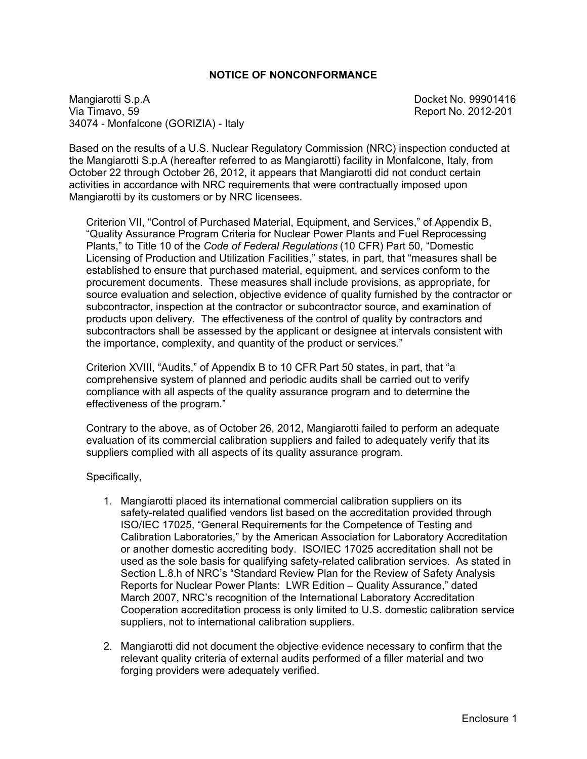#### **NOTICE OF NONCONFORMANCE**

Mangiarotti S.p.A<br>
Via Timavo, 59 34074 - Monfalcone (GORIZIA) - Italy

Report No. 2012-201

Based on the results of a U.S. Nuclear Regulatory Commission (NRC) inspection conducted at the Mangiarotti S.p.A (hereafter referred to as Mangiarotti) facility in Monfalcone, Italy, from October 22 through October 26, 2012, it appears that Mangiarotti did not conduct certain activities in accordance with NRC requirements that were contractually imposed upon Mangiarotti by its customers or by NRC licensees.

Criterion VII, "Control of Purchased Material, Equipment, and Services," of Appendix B, "Quality Assurance Program Criteria for Nuclear Power Plants and Fuel Reprocessing Plants," to Title 10 of the *Code of Federal Regulations* (10 CFR) Part 50, "Domestic Licensing of Production and Utilization Facilities," states, in part, that "measures shall be established to ensure that purchased material, equipment, and services conform to the procurement documents. These measures shall include provisions, as appropriate, for source evaluation and selection, objective evidence of quality furnished by the contractor or subcontractor, inspection at the contractor or subcontractor source, and examination of products upon delivery. The effectiveness of the control of quality by contractors and subcontractors shall be assessed by the applicant or designee at intervals consistent with the importance, complexity, and quantity of the product or services."

Criterion XVIII, "Audits," of Appendix B to 10 CFR Part 50 states, in part, that "a comprehensive system of planned and periodic audits shall be carried out to verify compliance with all aspects of the quality assurance program and to determine the effectiveness of the program."

Contrary to the above, as of October 26, 2012, Mangiarotti failed to perform an adequate evaluation of its commercial calibration suppliers and failed to adequately verify that its suppliers complied with all aspects of its quality assurance program.

Specifically,

- 1. Mangiarotti placed its international commercial calibration suppliers on its safety-related qualified vendors list based on the accreditation provided through ISO/IEC 17025, "General Requirements for the Competence of Testing and Calibration Laboratories," by the American Association for Laboratory Accreditation or another domestic accrediting body. ISO/IEC 17025 accreditation shall not be used as the sole basis for qualifying safety-related calibration services. As stated in Section L.8.h of NRC's "Standard Review Plan for the Review of Safety Analysis Reports for Nuclear Power Plants: LWR Edition – Quality Assurance," dated March 2007, NRC's recognition of the International Laboratory Accreditation Cooperation accreditation process is only limited to U.S. domestic calibration service suppliers, not to international calibration suppliers.
- 2. Mangiarotti did not document the objective evidence necessary to confirm that the relevant quality criteria of external audits performed of a filler material and two forging providers were adequately verified.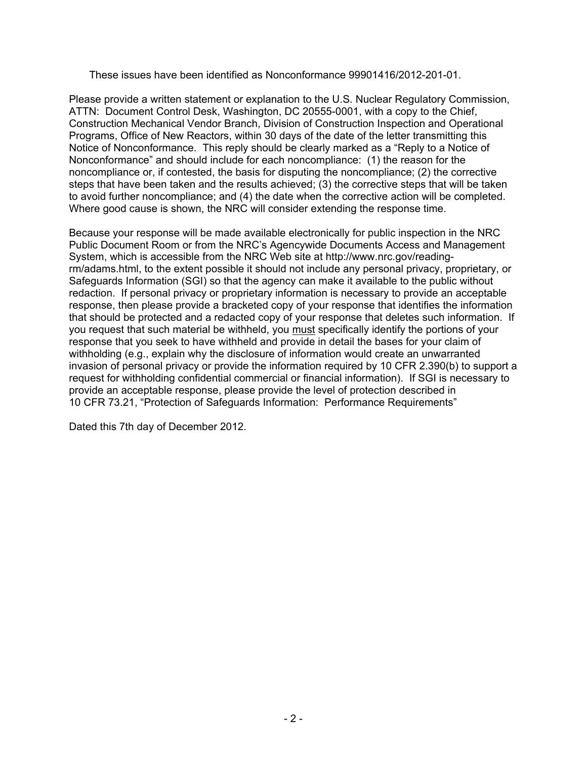These issues have been identified as Nonconformance 99901416/2012-201-01.

Please provide a written statement or explanation to the U.S. Nuclear Regulatory Commission, ATTN: Document Control Desk, Washington, DC 20555-0001, with a copy to the Chief, Construction Mechanical Vendor Branch, Division of Construction Inspection and Operational Programs, Office of New Reactors, within 30 days of the date of the letter transmitting this Notice of Nonconformance. This reply should be clearly marked as a "Reply to a Notice of Nonconformance" and should include for each noncompliance: (1) the reason for the noncompliance or, if contested, the basis for disputing the noncompliance; (2) the corrective steps that have been taken and the results achieved; (3) the corrective steps that will be taken to avoid further noncompliance; and (4) the date when the corrective action will be completed. Where good cause is shown, the NRC will consider extending the response time.

Because your response will be made available electronically for public inspection in the NRC Public Document Room or from the NRC's Agencywide Documents Access and Management System, which is accessible from the NRC Web site at http://www.nrc.gov/readingrm/adams.html, to the extent possible it should not include any personal privacy, proprietary, or Safeguards Information (SGI) so that the agency can make it available to the public without redaction. If personal privacy or proprietary information is necessary to provide an acceptable response, then please provide a bracketed copy of your response that identifies the information that should be protected and a redacted copy of your response that deletes such information. If you request that such material be withheld, you must specifically identify the portions of your response that you seek to have withheld and provide in detail the bases for your claim of withholding (e.g., explain why the disclosure of information would create an unwarranted invasion of personal privacy or provide the information required by 10 CFR 2.390(b) to support a request for withholding confidential commercial or financial information). If SGI is necessary to provide an acceptable response, please provide the level of protection described in 10 CFR 73.21, "Protection of Safeguards Information: Performance Requirements"

Dated this 7th day of December 2012.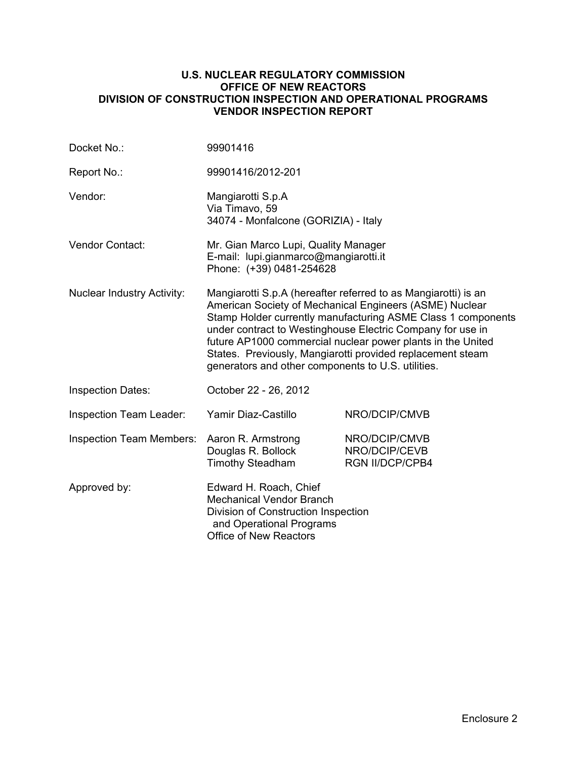#### **U.S. NUCLEAR REGULATORY COMMISSION OFFICE OF NEW REACTORS DIVISION OF CONSTRUCTION INSPECTION AND OPERATIONAL PROGRAMS VENDOR INSPECTION REPORT**

| Docket No.:                       | 99901416                                                                                                                                                                                                                                                                                                                                                                                                                                   |                                                          |  |  |
|-----------------------------------|--------------------------------------------------------------------------------------------------------------------------------------------------------------------------------------------------------------------------------------------------------------------------------------------------------------------------------------------------------------------------------------------------------------------------------------------|----------------------------------------------------------|--|--|
| Report No.:                       | 99901416/2012-201                                                                                                                                                                                                                                                                                                                                                                                                                          |                                                          |  |  |
| Vendor:                           | Mangiarotti S.p.A<br>Via Timavo, 59<br>34074 - Monfalcone (GORIZIA) - Italy                                                                                                                                                                                                                                                                                                                                                                |                                                          |  |  |
| Vendor Contact:                   | Mr. Gian Marco Lupi, Quality Manager<br>E-mail: lupi.gianmarco@mangiarotti.it<br>Phone: (+39) 0481-254628                                                                                                                                                                                                                                                                                                                                  |                                                          |  |  |
| <b>Nuclear Industry Activity:</b> | Mangiarotti S.p.A (hereafter referred to as Mangiarotti) is an<br>American Society of Mechanical Engineers (ASME) Nuclear<br>Stamp Holder currently manufacturing ASME Class 1 components<br>under contract to Westinghouse Electric Company for use in<br>future AP1000 commercial nuclear power plants in the United<br>States. Previously, Mangiarotti provided replacement steam<br>generators and other components to U.S. utilities. |                                                          |  |  |
| <b>Inspection Dates:</b>          | October 22 - 26, 2012                                                                                                                                                                                                                                                                                                                                                                                                                      |                                                          |  |  |
| <b>Inspection Team Leader:</b>    | Yamir Diaz-Castillo                                                                                                                                                                                                                                                                                                                                                                                                                        | NRO/DCIP/CMVB                                            |  |  |
| <b>Inspection Team Members:</b>   | Aaron R. Armstrong<br>Douglas R. Bollock<br><b>Timothy Steadham</b>                                                                                                                                                                                                                                                                                                                                                                        | NRO/DCIP/CMVB<br>NRO/DCIP/CEVB<br><b>RGN II/DCP/CPB4</b> |  |  |
| Approved by:                      | Edward H. Roach, Chief<br><b>Mechanical Vendor Branch</b><br>Division of Construction Inspection<br>and Operational Programs<br><b>Office of New Reactors</b>                                                                                                                                                                                                                                                                              |                                                          |  |  |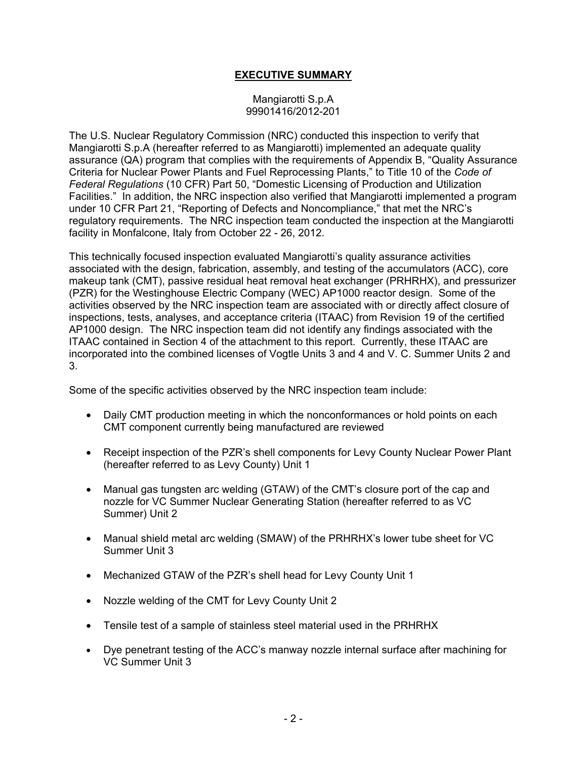#### **EXECUTIVE SUMMARY**

#### Mangiarotti S.p.A 99901416/2012-201

The U.S. Nuclear Regulatory Commission (NRC) conducted this inspection to verify that Mangiarotti S.p.A (hereafter referred to as Mangiarotti) implemented an adequate quality assurance (QA) program that complies with the requirements of Appendix B, "Quality Assurance Criteria for Nuclear Power Plants and Fuel Reprocessing Plants," to Title 10 of the *Code of Federal Regulations* (10 CFR) Part 50, "Domestic Licensing of Production and Utilization Facilities." In addition, the NRC inspection also verified that Mangiarotti implemented a program under 10 CFR Part 21, "Reporting of Defects and Noncompliance," that met the NRC's regulatory requirements. The NRC inspection team conducted the inspection at the Mangiarotti facility in Monfalcone, Italy from October 22 - 26, 2012.

This technically focused inspection evaluated Mangiarotti's quality assurance activities associated with the design, fabrication, assembly, and testing of the accumulators (ACC), core makeup tank (CMT), passive residual heat removal heat exchanger (PRHRHX), and pressurizer (PZR) for the Westinghouse Electric Company (WEC) AP1000 reactor design. Some of the activities observed by the NRC inspection team are associated with or directly affect closure of inspections, tests, analyses, and acceptance criteria (ITAAC) from Revision 19 of the certified AP1000 design. The NRC inspection team did not identify any findings associated with the ITAAC contained in Section 4 of the attachment to this report. Currently, these ITAAC are incorporated into the combined licenses of Vogtle Units 3 and 4 and V. C. Summer Units 2 and 3.

Some of the specific activities observed by the NRC inspection team include:

- Daily CMT production meeting in which the nonconformances or hold points on each CMT component currently being manufactured are reviewed
- Receipt inspection of the PZR's shell components for Levy County Nuclear Power Plant (hereafter referred to as Levy County) Unit 1
- Manual gas tungsten arc welding (GTAW) of the CMT's closure port of the cap and nozzle for VC Summer Nuclear Generating Station (hereafter referred to as VC Summer) Unit 2
- Manual shield metal arc welding (SMAW) of the PRHRHX's lower tube sheet for VC Summer Unit 3
- Mechanized GTAW of the PZR's shell head for Levy County Unit 1
- Nozzle welding of the CMT for Levy County Unit 2
- Tensile test of a sample of stainless steel material used in the PRHRHX
- Dye penetrant testing of the ACC's manway nozzle internal surface after machining for VC Summer Unit 3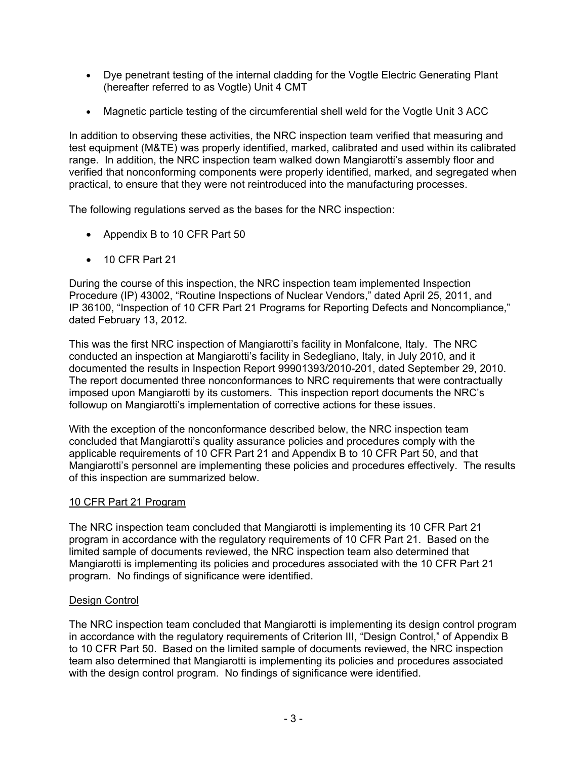- Dye penetrant testing of the internal cladding for the Vogtle Electric Generating Plant (hereafter referred to as Vogtle) Unit 4 CMT
- Magnetic particle testing of the circumferential shell weld for the Vogtle Unit 3 ACC

In addition to observing these activities, the NRC inspection team verified that measuring and test equipment (M&TE) was properly identified, marked, calibrated and used within its calibrated range. In addition, the NRC inspection team walked down Mangiarotti's assembly floor and verified that nonconforming components were properly identified, marked, and segregated when practical, to ensure that they were not reintroduced into the manufacturing processes.

The following regulations served as the bases for the NRC inspection:

- Appendix B to 10 CFR Part 50
- 10 CFR Part 21

During the course of this inspection, the NRC inspection team implemented Inspection Procedure (IP) 43002, "Routine Inspections of Nuclear Vendors," dated April 25, 2011, and IP 36100, "Inspection of 10 CFR Part 21 Programs for Reporting Defects and Noncompliance," dated February 13, 2012.

This was the first NRC inspection of Mangiarotti's facility in Monfalcone, Italy. The NRC conducted an inspection at Mangiarotti's facility in Sedegliano, Italy, in July 2010, and it documented the results in Inspection Report 99901393/2010-201, dated September 29, 2010. The report documented three nonconformances to NRC requirements that were contractually imposed upon Mangiarotti by its customers. This inspection report documents the NRC's followup on Mangiarotti's implementation of corrective actions for these issues.

With the exception of the nonconformance described below, the NRC inspection team concluded that Mangiarotti's quality assurance policies and procedures comply with the applicable requirements of 10 CFR Part 21 and Appendix B to 10 CFR Part 50, and that Mangiarotti's personnel are implementing these policies and procedures effectively. The results of this inspection are summarized below.

# 10 CFR Part 21 Program

The NRC inspection team concluded that Mangiarotti is implementing its 10 CFR Part 21 program in accordance with the regulatory requirements of 10 CFR Part 21. Based on the limited sample of documents reviewed, the NRC inspection team also determined that Mangiarotti is implementing its policies and procedures associated with the 10 CFR Part 21 program. No findings of significance were identified.

# Design Control

The NRC inspection team concluded that Mangiarotti is implementing its design control program in accordance with the regulatory requirements of Criterion III, "Design Control," of Appendix B to 10 CFR Part 50. Based on the limited sample of documents reviewed, the NRC inspection team also determined that Mangiarotti is implementing its policies and procedures associated with the design control program. No findings of significance were identified.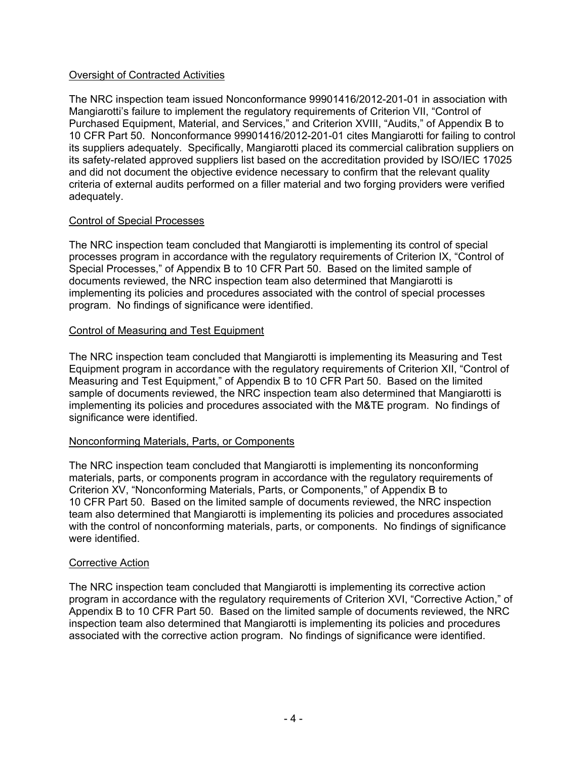#### Oversight of Contracted Activities

The NRC inspection team issued Nonconformance 99901416/2012-201-01 in association with Mangiarotti's failure to implement the regulatory requirements of Criterion VII, "Control of Purchased Equipment, Material, and Services," and Criterion XVIII, "Audits," of Appendix B to 10 CFR Part 50. Nonconformance 99901416/2012-201-01 cites Mangiarotti for failing to control its suppliers adequately. Specifically, Mangiarotti placed its commercial calibration suppliers on its safety-related approved suppliers list based on the accreditation provided by ISO/IEC 17025 and did not document the objective evidence necessary to confirm that the relevant quality criteria of external audits performed on a filler material and two forging providers were verified adequately.

#### Control of Special Processes

The NRC inspection team concluded that Mangiarotti is implementing its control of special processes program in accordance with the regulatory requirements of Criterion IX, "Control of Special Processes," of Appendix B to 10 CFR Part 50. Based on the limited sample of documents reviewed, the NRC inspection team also determined that Mangiarotti is implementing its policies and procedures associated with the control of special processes program. No findings of significance were identified.

#### Control of Measuring and Test Equipment

The NRC inspection team concluded that Mangiarotti is implementing its Measuring and Test Equipment program in accordance with the regulatory requirements of Criterion XII, "Control of Measuring and Test Equipment," of Appendix B to 10 CFR Part 50. Based on the limited sample of documents reviewed, the NRC inspection team also determined that Mangiarotti is implementing its policies and procedures associated with the M&TE program. No findings of significance were identified.

#### Nonconforming Materials, Parts, or Components

The NRC inspection team concluded that Mangiarotti is implementing its nonconforming materials, parts, or components program in accordance with the regulatory requirements of Criterion XV, "Nonconforming Materials, Parts, or Components," of Appendix B to 10 CFR Part 50. Based on the limited sample of documents reviewed, the NRC inspection team also determined that Mangiarotti is implementing its policies and procedures associated with the control of nonconforming materials, parts, or components. No findings of significance were identified.

#### Corrective Action

The NRC inspection team concluded that Mangiarotti is implementing its corrective action program in accordance with the regulatory requirements of Criterion XVI, "Corrective Action," of Appendix B to 10 CFR Part 50. Based on the limited sample of documents reviewed, the NRC inspection team also determined that Mangiarotti is implementing its policies and procedures associated with the corrective action program. No findings of significance were identified.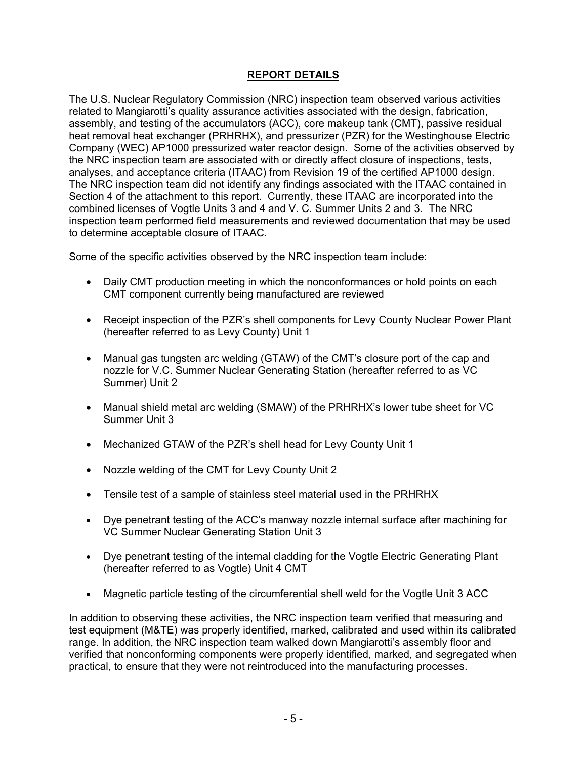# **REPORT DETAILS**

The U.S. Nuclear Regulatory Commission (NRC) inspection team observed various activities related to Mangiarotti's quality assurance activities associated with the design, fabrication, assembly, and testing of the accumulators (ACC), core makeup tank (CMT), passive residual heat removal heat exchanger (PRHRHX), and pressurizer (PZR) for the Westinghouse Electric Company (WEC) AP1000 pressurized water reactor design. Some of the activities observed by the NRC inspection team are associated with or directly affect closure of inspections, tests, analyses, and acceptance criteria (ITAAC) from Revision 19 of the certified AP1000 design. The NRC inspection team did not identify any findings associated with the ITAAC contained in Section 4 of the attachment to this report. Currently, these ITAAC are incorporated into the combined licenses of Vogtle Units 3 and 4 and V. C. Summer Units 2 and 3. The NRC inspection team performed field measurements and reviewed documentation that may be used to determine acceptable closure of ITAAC.

Some of the specific activities observed by the NRC inspection team include:

- Daily CMT production meeting in which the nonconformances or hold points on each CMT component currently being manufactured are reviewed
- Receipt inspection of the PZR's shell components for Levy County Nuclear Power Plant (hereafter referred to as Levy County) Unit 1
- Manual gas tungsten arc welding (GTAW) of the CMT's closure port of the cap and nozzle for V.C. Summer Nuclear Generating Station (hereafter referred to as VC Summer) Unit 2
- Manual shield metal arc welding (SMAW) of the PRHRHX's lower tube sheet for VC Summer Unit 3
- Mechanized GTAW of the PZR's shell head for Levy County Unit 1
- Nozzle welding of the CMT for Levy County Unit 2
- Tensile test of a sample of stainless steel material used in the PRHRHX
- Dye penetrant testing of the ACC's manway nozzle internal surface after machining for VC Summer Nuclear Generating Station Unit 3
- Dye penetrant testing of the internal cladding for the Vogtle Electric Generating Plant (hereafter referred to as Vogtle) Unit 4 CMT
- Magnetic particle testing of the circumferential shell weld for the Vogtle Unit 3 ACC

In addition to observing these activities, the NRC inspection team verified that measuring and test equipment (M&TE) was properly identified, marked, calibrated and used within its calibrated range. In addition, the NRC inspection team walked down Mangiarotti's assembly floor and verified that nonconforming components were properly identified, marked, and segregated when practical, to ensure that they were not reintroduced into the manufacturing processes.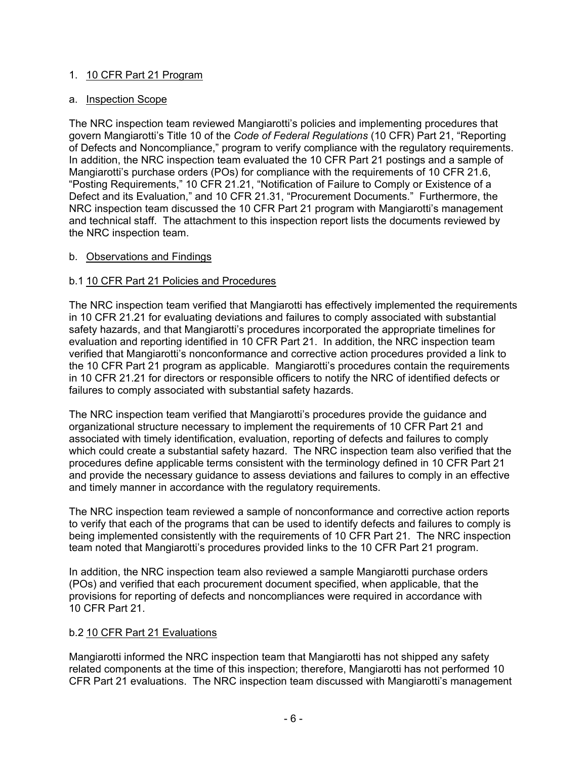#### 1. 10 CFR Part 21 Program

#### a. Inspection Scope

The NRC inspection team reviewed Mangiarotti's policies and implementing procedures that govern Mangiarotti's Title 10 of the *Code of Federal Regulations* (10 CFR) Part 21, "Reporting of Defects and Noncompliance," program to verify compliance with the regulatory requirements. In addition, the NRC inspection team evaluated the 10 CFR Part 21 postings and a sample of Mangiarotti's purchase orders (POs) for compliance with the requirements of 10 CFR 21.6, "Posting Requirements," 10 CFR 21.21, "Notification of Failure to Comply or Existence of a Defect and its Evaluation," and 10 CFR 21.31, "Procurement Documents." Furthermore, the NRC inspection team discussed the 10 CFR Part 21 program with Mangiarotti's management and technical staff. The attachment to this inspection report lists the documents reviewed by the NRC inspection team.

#### b. Observations and Findings

#### b.1 10 CFR Part 21 Policies and Procedures

The NRC inspection team verified that Mangiarotti has effectively implemented the requirements in 10 CFR 21.21 for evaluating deviations and failures to comply associated with substantial safety hazards, and that Mangiarotti's procedures incorporated the appropriate timelines for evaluation and reporting identified in 10 CFR Part 21. In addition, the NRC inspection team verified that Mangiarotti's nonconformance and corrective action procedures provided a link to the 10 CFR Part 21 program as applicable. Mangiarotti's procedures contain the requirements in 10 CFR 21.21 for directors or responsible officers to notify the NRC of identified defects or failures to comply associated with substantial safety hazards.

The NRC inspection team verified that Mangiarotti's procedures provide the guidance and organizational structure necessary to implement the requirements of 10 CFR Part 21 and associated with timely identification, evaluation, reporting of defects and failures to comply which could create a substantial safety hazard. The NRC inspection team also verified that the procedures define applicable terms consistent with the terminology defined in 10 CFR Part 21 and provide the necessary guidance to assess deviations and failures to comply in an effective and timely manner in accordance with the regulatory requirements.

The NRC inspection team reviewed a sample of nonconformance and corrective action reports to verify that each of the programs that can be used to identify defects and failures to comply is being implemented consistently with the requirements of 10 CFR Part 21. The NRC inspection team noted that Mangiarotti's procedures provided links to the 10 CFR Part 21 program.

In addition, the NRC inspection team also reviewed a sample Mangiarotti purchase orders (POs) and verified that each procurement document specified, when applicable, that the provisions for reporting of defects and noncompliances were required in accordance with 10 CFR Part 21.

#### b.2 10 CFR Part 21 Evaluations

Mangiarotti informed the NRC inspection team that Mangiarotti has not shipped any safety related components at the time of this inspection; therefore, Mangiarotti has not performed 10 CFR Part 21 evaluations. The NRC inspection team discussed with Mangiarotti's management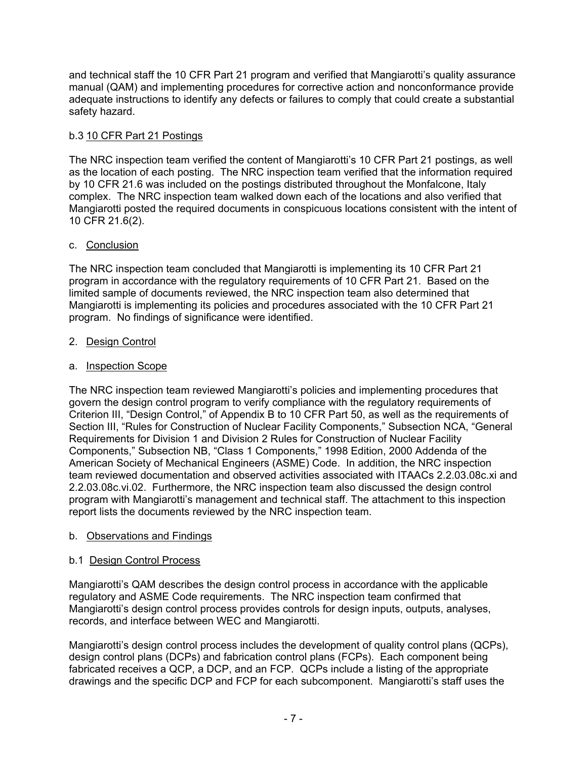and technical staff the 10 CFR Part 21 program and verified that Mangiarotti's quality assurance manual (QAM) and implementing procedures for corrective action and nonconformance provide adequate instructions to identify any defects or failures to comply that could create a substantial safety hazard.

# b.3 10 CFR Part 21 Postings

The NRC inspection team verified the content of Mangiarotti's 10 CFR Part 21 postings, as well as the location of each posting. The NRC inspection team verified that the information required by 10 CFR 21.6 was included on the postings distributed throughout the Monfalcone, Italy complex. The NRC inspection team walked down each of the locations and also verified that Mangiarotti posted the required documents in conspicuous locations consistent with the intent of 10 CFR 21.6(2).

# c. Conclusion

The NRC inspection team concluded that Mangiarotti is implementing its 10 CFR Part 21 program in accordance with the regulatory requirements of 10 CFR Part 21. Based on the limited sample of documents reviewed, the NRC inspection team also determined that Mangiarotti is implementing its policies and procedures associated with the 10 CFR Part 21 program. No findings of significance were identified.

# 2. Design Control

# a. Inspection Scope

The NRC inspection team reviewed Mangiarotti's policies and implementing procedures that govern the design control program to verify compliance with the regulatory requirements of Criterion III, "Design Control," of Appendix B to 10 CFR Part 50, as well as the requirements of Section III, "Rules for Construction of Nuclear Facility Components," Subsection NCA, "General Requirements for Division 1 and Division 2 Rules for Construction of Nuclear Facility Components," Subsection NB, "Class 1 Components," 1998 Edition, 2000 Addenda of the American Society of Mechanical Engineers (ASME) Code. In addition, the NRC inspection team reviewed documentation and observed activities associated with ITAACs 2.2.03.08c.xi and 2.2.03.08c.vi.02. Furthermore, the NRC inspection team also discussed the design control program with Mangiarotti's management and technical staff. The attachment to this inspection report lists the documents reviewed by the NRC inspection team.

# b. Observations and Findings

# b.1 Design Control Process

Mangiarotti's QAM describes the design control process in accordance with the applicable regulatory and ASME Code requirements. The NRC inspection team confirmed that Mangiarotti's design control process provides controls for design inputs, outputs, analyses, records, and interface between WEC and Mangiarotti.

Mangiarotti's design control process includes the development of quality control plans (QCPs), design control plans (DCPs) and fabrication control plans (FCPs). Each component being fabricated receives a QCP, a DCP, and an FCP. QCPs include a listing of the appropriate drawings and the specific DCP and FCP for each subcomponent. Mangiarotti's staff uses the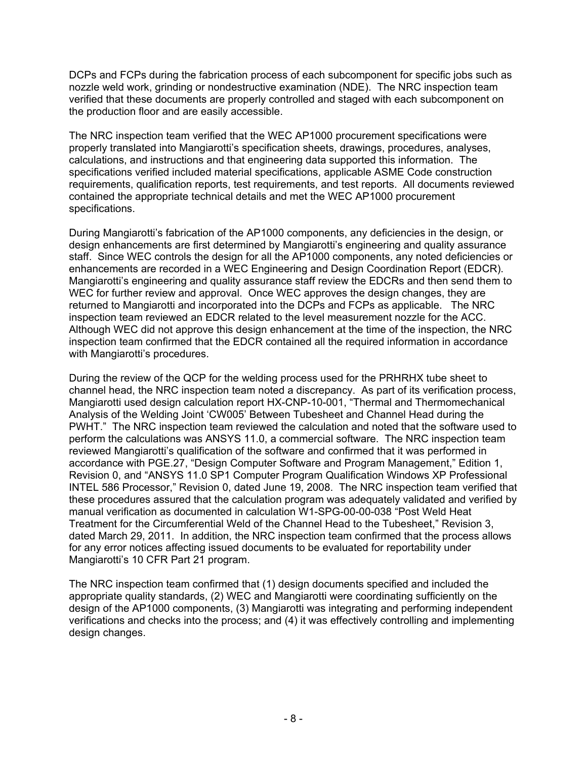DCPs and FCPs during the fabrication process of each subcomponent for specific jobs such as nozzle weld work, grinding or nondestructive examination (NDE). The NRC inspection team verified that these documents are properly controlled and staged with each subcomponent on the production floor and are easily accessible.

The NRC inspection team verified that the WEC AP1000 procurement specifications were properly translated into Mangiarotti's specification sheets, drawings, procedures, analyses, calculations, and instructions and that engineering data supported this information. The specifications verified included material specifications, applicable ASME Code construction requirements, qualification reports, test requirements, and test reports. All documents reviewed contained the appropriate technical details and met the WEC AP1000 procurement specifications.

During Mangiarotti's fabrication of the AP1000 components, any deficiencies in the design, or design enhancements are first determined by Mangiarotti's engineering and quality assurance staff. Since WEC controls the design for all the AP1000 components, any noted deficiencies or enhancements are recorded in a WEC Engineering and Design Coordination Report (EDCR). Mangiarotti's engineering and quality assurance staff review the EDCRs and then send them to WEC for further review and approval. Once WEC approves the design changes, they are returned to Mangiarotti and incorporated into the DCPs and FCPs as applicable. The NRC inspection team reviewed an EDCR related to the level measurement nozzle for the ACC. Although WEC did not approve this design enhancement at the time of the inspection, the NRC inspection team confirmed that the EDCR contained all the required information in accordance with Mangiarotti's procedures.

During the review of the QCP for the welding process used for the PRHRHX tube sheet to channel head, the NRC inspection team noted a discrepancy. As part of its verification process, Mangiarotti used design calculation report HX-CNP-10-001, "Thermal and Thermomechanical Analysis of the Welding Joint 'CW005' Between Tubesheet and Channel Head during the PWHT." The NRC inspection team reviewed the calculation and noted that the software used to perform the calculations was ANSYS 11.0, a commercial software. The NRC inspection team reviewed Mangiarotti's qualification of the software and confirmed that it was performed in accordance with PGE.27, "Design Computer Software and Program Management," Edition 1, Revision 0, and "ANSYS 11.0 SP1 Computer Program Qualification Windows XP Professional INTEL 586 Processor," Revision 0, dated June 19, 2008. The NRC inspection team verified that these procedures assured that the calculation program was adequately validated and verified by manual verification as documented in calculation W1-SPG-00-00-038 "Post Weld Heat Treatment for the Circumferential Weld of the Channel Head to the Tubesheet," Revision 3, dated March 29, 2011. In addition, the NRC inspection team confirmed that the process allows for any error notices affecting issued documents to be evaluated for reportability under Mangiarotti's 10 CFR Part 21 program.

The NRC inspection team confirmed that (1) design documents specified and included the appropriate quality standards, (2) WEC and Mangiarotti were coordinating sufficiently on the design of the AP1000 components, (3) Mangiarotti was integrating and performing independent verifications and checks into the process; and (4) it was effectively controlling and implementing design changes.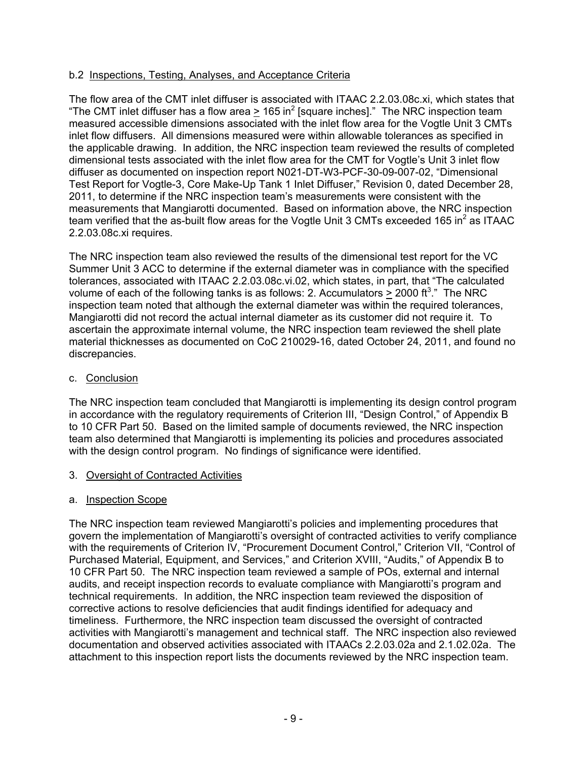#### b.2 Inspections, Testing, Analyses, and Acceptance Criteria

The flow area of the CMT inlet diffuser is associated with ITAAC 2.2.03.08c.xi, which states that "The CMT inlet diffuser has a flow area  $\geq 165$  in<sup>2</sup> [square inches]." The NRC inspection team measured accessible dimensions associated with the inlet flow area for the Vogtle Unit 3 CMTs inlet flow diffusers. All dimensions measured were within allowable tolerances as specified in the applicable drawing. In addition, the NRC inspection team reviewed the results of completed dimensional tests associated with the inlet flow area for the CMT for Vogtle's Unit 3 inlet flow diffuser as documented on inspection report N021-DT-W3-PCF-30-09-007-02, "Dimensional Test Report for Vogtle-3, Core Make-Up Tank 1 Inlet Diffuser," Revision 0, dated December 28, 2011, to determine if the NRC inspection team's measurements were consistent with the measurements that Mangiarotti documented. Based on information above, the NRC inspection team verified that the as-built flow areas for the Vogtle Unit 3 CMTs exceeded 165 in<sup>2</sup> as ITAAC 2.2.03.08c.xi requires.

The NRC inspection team also reviewed the results of the dimensional test report for the VC Summer Unit 3 ACC to determine if the external diameter was in compliance with the specified tolerances, associated with ITAAC 2.2.03.08c.vi.02, which states, in part, that "The calculated volume of each of the following tanks is as follows: 2. Accumulators  $\geq$  2000 ft<sup>3</sup>." The NRC inspection team noted that although the external diameter was within the required tolerances, Mangiarotti did not record the actual internal diameter as its customer did not require it. To ascertain the approximate internal volume, the NRC inspection team reviewed the shell plate material thicknesses as documented on CoC 210029-16, dated October 24, 2011, and found no discrepancies.

#### c. Conclusion

The NRC inspection team concluded that Mangiarotti is implementing its design control program in accordance with the regulatory requirements of Criterion III, "Design Control," of Appendix B to 10 CFR Part 50. Based on the limited sample of documents reviewed, the NRC inspection team also determined that Mangiarotti is implementing its policies and procedures associated with the design control program. No findings of significance were identified.

#### 3. Oversight of Contracted Activities

#### a. Inspection Scope

The NRC inspection team reviewed Mangiarotti's policies and implementing procedures that govern the implementation of Mangiarotti's oversight of contracted activities to verify compliance with the requirements of Criterion IV, "Procurement Document Control," Criterion VII, "Control of Purchased Material, Equipment, and Services," and Criterion XVIII, "Audits," of Appendix B to 10 CFR Part 50. The NRC inspection team reviewed a sample of POs, external and internal audits, and receipt inspection records to evaluate compliance with Mangiarotti's program and technical requirements. In addition, the NRC inspection team reviewed the disposition of corrective actions to resolve deficiencies that audit findings identified for adequacy and timeliness. Furthermore, the NRC inspection team discussed the oversight of contracted activities with Mangiarotti's management and technical staff. The NRC inspection also reviewed documentation and observed activities associated with ITAACs 2.2.03.02a and 2.1.02.02a. The attachment to this inspection report lists the documents reviewed by the NRC inspection team.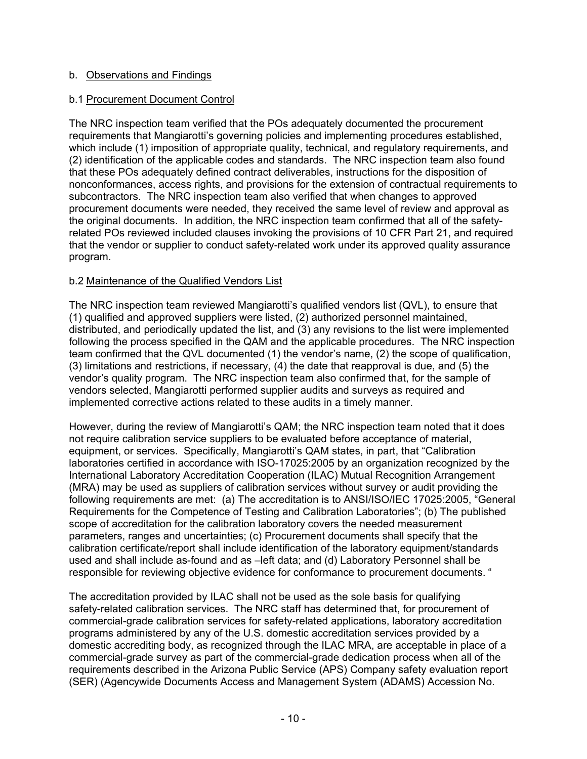#### b. Observations and Findings

#### b.1 Procurement Document Control

The NRC inspection team verified that the POs adequately documented the procurement requirements that Mangiarotti's governing policies and implementing procedures established, which include (1) imposition of appropriate quality, technical, and regulatory requirements, and (2) identification of the applicable codes and standards. The NRC inspection team also found that these POs adequately defined contract deliverables, instructions for the disposition of nonconformances, access rights, and provisions for the extension of contractual requirements to subcontractors. The NRC inspection team also verified that when changes to approved procurement documents were needed, they received the same level of review and approval as the original documents. In addition, the NRC inspection team confirmed that all of the safetyrelated POs reviewed included clauses invoking the provisions of 10 CFR Part 21, and required that the vendor or supplier to conduct safety-related work under its approved quality assurance program.

#### b.2 Maintenance of the Qualified Vendors List

The NRC inspection team reviewed Mangiarotti's qualified vendors list (QVL), to ensure that (1) qualified and approved suppliers were listed, (2) authorized personnel maintained, distributed, and periodically updated the list, and (3) any revisions to the list were implemented following the process specified in the QAM and the applicable procedures. The NRC inspection team confirmed that the QVL documented (1) the vendor's name, (2) the scope of qualification, (3) limitations and restrictions, if necessary, (4) the date that reapproval is due, and (5) the vendor's quality program. The NRC inspection team also confirmed that, for the sample of vendors selected, Mangiarotti performed supplier audits and surveys as required and implemented corrective actions related to these audits in a timely manner.

However, during the review of Mangiarotti's QAM; the NRC inspection team noted that it does not require calibration service suppliers to be evaluated before acceptance of material, equipment, or services. Specifically, Mangiarotti's QAM states, in part, that "Calibration laboratories certified in accordance with ISO-17025:2005 by an organization recognized by the International Laboratory Accreditation Cooperation (ILAC) Mutual Recognition Arrangement (MRA) may be used as suppliers of calibration services without survey or audit providing the following requirements are met: (a) The accreditation is to ANSI/ISO/IEC 17025:2005, "General Requirements for the Competence of Testing and Calibration Laboratories"; (b) The published scope of accreditation for the calibration laboratory covers the needed measurement parameters, ranges and uncertainties; (c) Procurement documents shall specify that the calibration certificate/report shall include identification of the laboratory equipment/standards used and shall include as-found and as –left data; and (d) Laboratory Personnel shall be responsible for reviewing objective evidence for conformance to procurement documents. "

The accreditation provided by ILAC shall not be used as the sole basis for qualifying safety-related calibration services. The NRC staff has determined that, for procurement of commercial-grade calibration services for safety-related applications, laboratory accreditation programs administered by any of the U.S. domestic accreditation services provided by a domestic accrediting body, as recognized through the ILAC MRA, are acceptable in place of a commercial-grade survey as part of the commercial-grade dedication process when all of the requirements described in the Arizona Public Service (APS) Company safety evaluation report (SER) (Agencywide Documents Access and Management System (ADAMS) Accession No.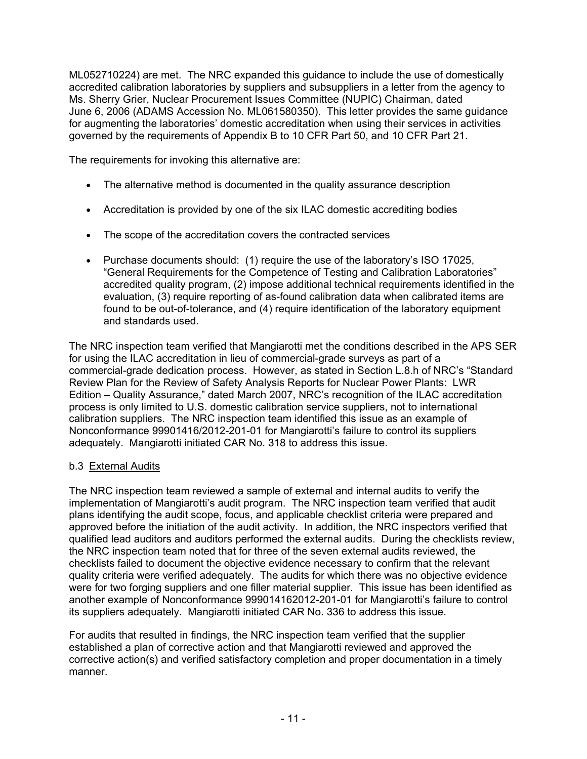ML052710224) are met. The NRC expanded this guidance to include the use of domestically accredited calibration laboratories by suppliers and subsuppliers in a letter from the agency to Ms. Sherry Grier, Nuclear Procurement Issues Committee (NUPIC) Chairman, dated June 6, 2006 (ADAMS Accession No. ML061580350). This letter provides the same guidance for augmenting the laboratories' domestic accreditation when using their services in activities governed by the requirements of Appendix B to 10 CFR Part 50, and 10 CFR Part 21.

The requirements for invoking this alternative are:

- The alternative method is documented in the quality assurance description
- Accreditation is provided by one of the six ILAC domestic accrediting bodies
- The scope of the accreditation covers the contracted services
- Purchase documents should: (1) require the use of the laboratory's ISO 17025, "General Requirements for the Competence of Testing and Calibration Laboratories" accredited quality program, (2) impose additional technical requirements identified in the evaluation, (3) require reporting of as-found calibration data when calibrated items are found to be out-of-tolerance, and (4) require identification of the laboratory equipment and standards used.

The NRC inspection team verified that Mangiarotti met the conditions described in the APS SER for using the ILAC accreditation in lieu of commercial-grade surveys as part of a commercial-grade dedication process. However, as stated in Section L.8.h of NRC's "Standard Review Plan for the Review of Safety Analysis Reports for Nuclear Power Plants: LWR Edition – Quality Assurance," dated March 2007, NRC's recognition of the ILAC accreditation process is only limited to U.S. domestic calibration service suppliers, not to international calibration suppliers. The NRC inspection team identified this issue as an example of Nonconformance 99901416/2012-201-01 for Mangiarotti's failure to control its suppliers adequately. Mangiarotti initiated CAR No. 318 to address this issue.

# b.3 External Audits

The NRC inspection team reviewed a sample of external and internal audits to verify the implementation of Mangiarotti's audit program. The NRC inspection team verified that audit plans identifying the audit scope, focus, and applicable checklist criteria were prepared and approved before the initiation of the audit activity. In addition, the NRC inspectors verified that qualified lead auditors and auditors performed the external audits. During the checklists review, the NRC inspection team noted that for three of the seven external audits reviewed, the checklists failed to document the objective evidence necessary to confirm that the relevant quality criteria were verified adequately. The audits for which there was no objective evidence were for two forging suppliers and one filler material supplier. This issue has been identified as another example of Nonconformance 999014162012-201-01 for Mangiarotti's failure to control its suppliers adequately. Mangiarotti initiated CAR No. 336 to address this issue.

For audits that resulted in findings, the NRC inspection team verified that the supplier established a plan of corrective action and that Mangiarotti reviewed and approved the corrective action(s) and verified satisfactory completion and proper documentation in a timely manner.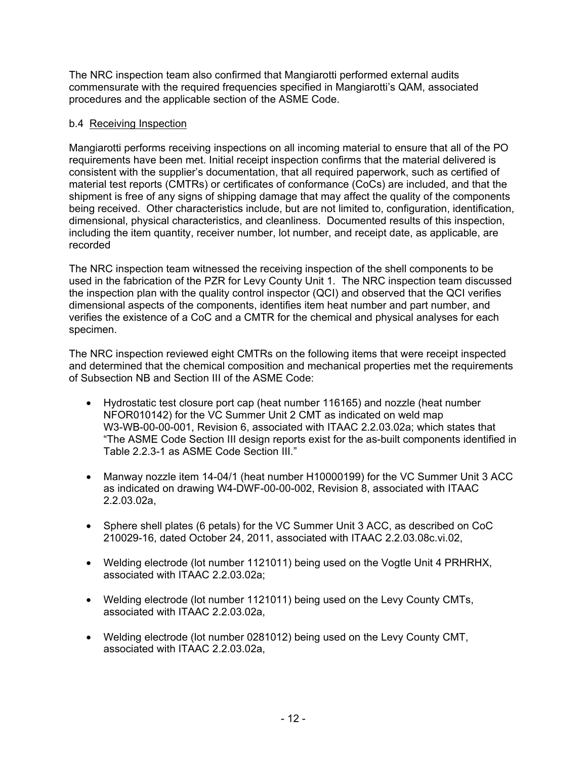The NRC inspection team also confirmed that Mangiarotti performed external audits commensurate with the required frequencies specified in Mangiarotti's QAM, associated procedures and the applicable section of the ASME Code.

#### b.4 Receiving Inspection

Mangiarotti performs receiving inspections on all incoming material to ensure that all of the PO requirements have been met. Initial receipt inspection confirms that the material delivered is consistent with the supplier's documentation, that all required paperwork, such as certified of material test reports (CMTRs) or certificates of conformance (CoCs) are included, and that the shipment is free of any signs of shipping damage that may affect the quality of the components being received. Other characteristics include, but are not limited to, configuration, identification, dimensional, physical characteristics, and cleanliness. Documented results of this inspection, including the item quantity, receiver number, lot number, and receipt date, as applicable, are recorded

The NRC inspection team witnessed the receiving inspection of the shell components to be used in the fabrication of the PZR for Levy County Unit 1. The NRC inspection team discussed the inspection plan with the quality control inspector (QCI) and observed that the QCI verifies dimensional aspects of the components, identifies item heat number and part number, and verifies the existence of a CoC and a CMTR for the chemical and physical analyses for each specimen.

The NRC inspection reviewed eight CMTRs on the following items that were receipt inspected and determined that the chemical composition and mechanical properties met the requirements of Subsection NB and Section III of the ASME Code:

- Hydrostatic test closure port cap (heat number 116165) and nozzle (heat number NFOR010142) for the VC Summer Unit 2 CMT as indicated on weld map W3-WB-00-00-001, Revision 6, associated with ITAAC 2.2.03.02a; which states that "The ASME Code Section III design reports exist for the as-built components identified in Table 2.2.3-1 as ASME Code Section III."
- Manway nozzle item 14-04/1 (heat number H10000199) for the VC Summer Unit 3 ACC as indicated on drawing W4-DWF-00-00-002, Revision 8, associated with ITAAC 2.2.03.02a,
- Sphere shell plates (6 petals) for the VC Summer Unit 3 ACC, as described on CoC 210029-16, dated October 24, 2011, associated with ITAAC 2.2.03.08c.vi.02,
- Welding electrode (lot number 1121011) being used on the Vogtle Unit 4 PRHRHX, associated with ITAAC 2.2.03.02a;
- Welding electrode (lot number 1121011) being used on the Levy County CMTs, associated with ITAAC 2.2.03.02a,
- Welding electrode (lot number 0281012) being used on the Levy County CMT, associated with ITAAC 2.2.03.02a,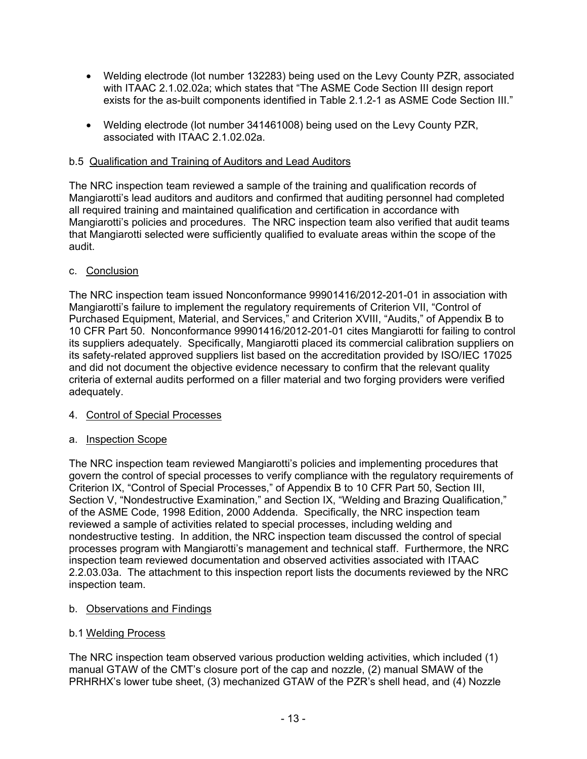- Welding electrode (lot number 132283) being used on the Levy County PZR, associated with ITAAC 2.1.02.02a; which states that "The ASME Code Section III design report exists for the as-built components identified in Table 2.1.2-1 as ASME Code Section III."
- Welding electrode (lot number 341461008) being used on the Levy County PZR, associated with ITAAC 2.1.02.02a.

#### b.5 Qualification and Training of Auditors and Lead Auditors

The NRC inspection team reviewed a sample of the training and qualification records of Mangiarotti's lead auditors and auditors and confirmed that auditing personnel had completed all required training and maintained qualification and certification in accordance with Mangiarotti's policies and procedures. The NRC inspection team also verified that audit teams that Mangiarotti selected were sufficiently qualified to evaluate areas within the scope of the audit.

#### c. Conclusion

The NRC inspection team issued Nonconformance 99901416/2012-201-01 in association with Mangiarotti's failure to implement the regulatory requirements of Criterion VII, "Control of Purchased Equipment, Material, and Services," and Criterion XVIII, "Audits," of Appendix B to 10 CFR Part 50. Nonconformance 99901416/2012-201-01 cites Mangiarotti for failing to control its suppliers adequately. Specifically, Mangiarotti placed its commercial calibration suppliers on its safety-related approved suppliers list based on the accreditation provided by ISO/IEC 17025 and did not document the objective evidence necessary to confirm that the relevant quality criteria of external audits performed on a filler material and two forging providers were verified adequately.

#### 4. Control of Special Processes

#### a. Inspection Scope

The NRC inspection team reviewed Mangiarotti's policies and implementing procedures that govern the control of special processes to verify compliance with the regulatory requirements of Criterion IX, "Control of Special Processes," of Appendix B to 10 CFR Part 50, Section III, Section V, "Nondestructive Examination," and Section IX, "Welding and Brazing Qualification," of the ASME Code, 1998 Edition, 2000 Addenda. Specifically, the NRC inspection team reviewed a sample of activities related to special processes, including welding and nondestructive testing. In addition, the NRC inspection team discussed the control of special processes program with Mangiarotti's management and technical staff. Furthermore, the NRC inspection team reviewed documentation and observed activities associated with ITAAC 2.2.03.03a. The attachment to this inspection report lists the documents reviewed by the NRC inspection team.

# b. Observations and Findings

#### b.1 Welding Process

The NRC inspection team observed various production welding activities, which included (1) manual GTAW of the CMT's closure port of the cap and nozzle, (2) manual SMAW of the PRHRHX's lower tube sheet, (3) mechanized GTAW of the PZR's shell head, and (4) Nozzle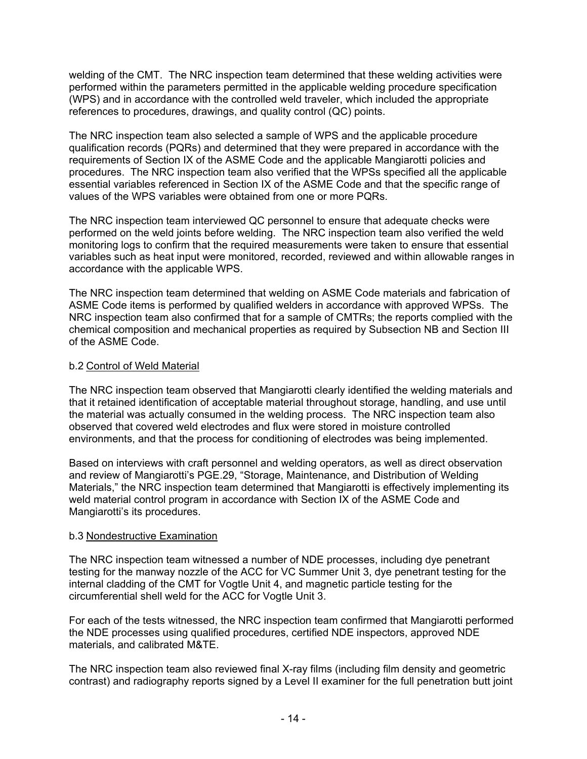welding of the CMT. The NRC inspection team determined that these welding activities were performed within the parameters permitted in the applicable welding procedure specification (WPS) and in accordance with the controlled weld traveler, which included the appropriate references to procedures, drawings, and quality control (QC) points.

The NRC inspection team also selected a sample of WPS and the applicable procedure qualification records (PQRs) and determined that they were prepared in accordance with the requirements of Section IX of the ASME Code and the applicable Mangiarotti policies and procedures. The NRC inspection team also verified that the WPSs specified all the applicable essential variables referenced in Section IX of the ASME Code and that the specific range of values of the WPS variables were obtained from one or more PQRs.

The NRC inspection team interviewed QC personnel to ensure that adequate checks were performed on the weld joints before welding. The NRC inspection team also verified the weld monitoring logs to confirm that the required measurements were taken to ensure that essential variables such as heat input were monitored, recorded, reviewed and within allowable ranges in accordance with the applicable WPS.

The NRC inspection team determined that welding on ASME Code materials and fabrication of ASME Code items is performed by qualified welders in accordance with approved WPSs. The NRC inspection team also confirmed that for a sample of CMTRs; the reports complied with the chemical composition and mechanical properties as required by Subsection NB and Section III of the ASME Code.

#### b.2 Control of Weld Material

The NRC inspection team observed that Mangiarotti clearly identified the welding materials and that it retained identification of acceptable material throughout storage, handling, and use until the material was actually consumed in the welding process. The NRC inspection team also observed that covered weld electrodes and flux were stored in moisture controlled environments, and that the process for conditioning of electrodes was being implemented.

Based on interviews with craft personnel and welding operators, as well as direct observation and review of Mangiarotti's PGE.29, "Storage, Maintenance, and Distribution of Welding Materials," the NRC inspection team determined that Mangiarotti is effectively implementing its weld material control program in accordance with Section IX of the ASME Code and Mangiarotti's its procedures.

# b.3 Nondestructive Examination

The NRC inspection team witnessed a number of NDE processes, including dye penetrant testing for the manway nozzle of the ACC for VC Summer Unit 3, dye penetrant testing for the internal cladding of the CMT for Vogtle Unit 4, and magnetic particle testing for the circumferential shell weld for the ACC for Vogtle Unit 3.

For each of the tests witnessed, the NRC inspection team confirmed that Mangiarotti performed the NDE processes using qualified procedures, certified NDE inspectors, approved NDE materials, and calibrated M&TE.

The NRC inspection team also reviewed final X-ray films (including film density and geometric contrast) and radiography reports signed by a Level II examiner for the full penetration butt joint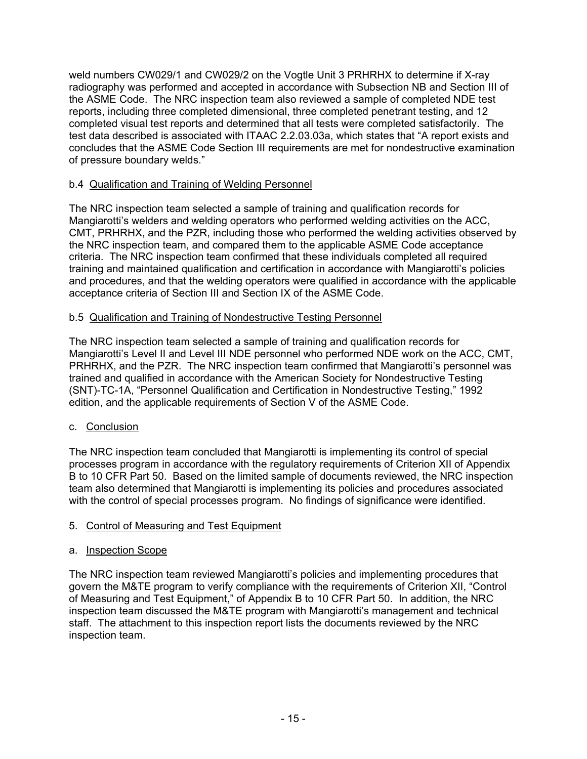weld numbers CW029/1 and CW029/2 on the Vogtle Unit 3 PRHRHX to determine if X-ray radiography was performed and accepted in accordance with Subsection NB and Section III of the ASME Code. The NRC inspection team also reviewed a sample of completed NDE test reports, including three completed dimensional, three completed penetrant testing, and 12 completed visual test reports and determined that all tests were completed satisfactorily. The test data described is associated with ITAAC 2.2.03.03a, which states that "A report exists and concludes that the ASME Code Section III requirements are met for nondestructive examination of pressure boundary welds."

#### b.4 Qualification and Training of Welding Personnel

The NRC inspection team selected a sample of training and qualification records for Mangiarotti's welders and welding operators who performed welding activities on the ACC, CMT, PRHRHX, and the PZR, including those who performed the welding activities observed by the NRC inspection team, and compared them to the applicable ASME Code acceptance criteria. The NRC inspection team confirmed that these individuals completed all required training and maintained qualification and certification in accordance with Mangiarotti's policies and procedures, and that the welding operators were qualified in accordance with the applicable acceptance criteria of Section III and Section IX of the ASME Code.

#### b.5 Qualification and Training of Nondestructive Testing Personnel

The NRC inspection team selected a sample of training and qualification records for Mangiarotti's Level II and Level III NDE personnel who performed NDE work on the ACC, CMT, PRHRHX, and the PZR. The NRC inspection team confirmed that Mangiarotti's personnel was trained and qualified in accordance with the American Society for Nondestructive Testing (SNT)-TC-1A, "Personnel Qualification and Certification in Nondestructive Testing," 1992 edition, and the applicable requirements of Section V of the ASME Code.

# c. Conclusion

The NRC inspection team concluded that Mangiarotti is implementing its control of special processes program in accordance with the regulatory requirements of Criterion XII of Appendix B to 10 CFR Part 50. Based on the limited sample of documents reviewed, the NRC inspection team also determined that Mangiarotti is implementing its policies and procedures associated with the control of special processes program. No findings of significance were identified.

# 5. Control of Measuring and Test Equipment

#### a. Inspection Scope

The NRC inspection team reviewed Mangiarotti's policies and implementing procedures that govern the M&TE program to verify compliance with the requirements of Criterion XII, "Control of Measuring and Test Equipment," of Appendix B to 10 CFR Part 50. In addition, the NRC inspection team discussed the M&TE program with Mangiarotti's management and technical staff. The attachment to this inspection report lists the documents reviewed by the NRC inspection team.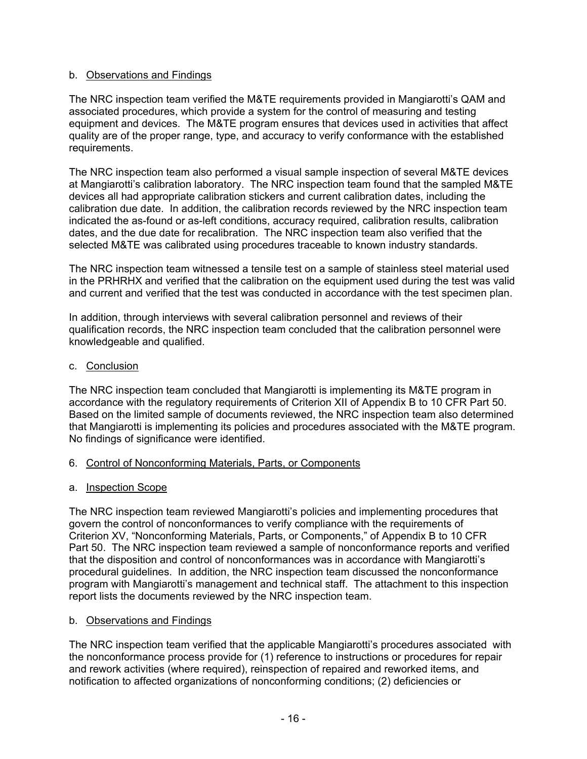#### b. Observations and Findings

The NRC inspection team verified the M&TE requirements provided in Mangiarotti's QAM and associated procedures, which provide a system for the control of measuring and testing equipment and devices. The M&TE program ensures that devices used in activities that affect quality are of the proper range, type, and accuracy to verify conformance with the established requirements.

The NRC inspection team also performed a visual sample inspection of several M&TE devices at Mangiarotti's calibration laboratory. The NRC inspection team found that the sampled M&TE devices all had appropriate calibration stickers and current calibration dates, including the calibration due date. In addition, the calibration records reviewed by the NRC inspection team indicated the as-found or as-left conditions, accuracy required, calibration results, calibration dates, and the due date for recalibration. The NRC inspection team also verified that the selected M&TE was calibrated using procedures traceable to known industry standards.

The NRC inspection team witnessed a tensile test on a sample of stainless steel material used in the PRHRHX and verified that the calibration on the equipment used during the test was valid and current and verified that the test was conducted in accordance with the test specimen plan.

In addition, through interviews with several calibration personnel and reviews of their qualification records, the NRC inspection team concluded that the calibration personnel were knowledgeable and qualified.

#### c. Conclusion

The NRC inspection team concluded that Mangiarotti is implementing its M&TE program in accordance with the regulatory requirements of Criterion XII of Appendix B to 10 CFR Part 50. Based on the limited sample of documents reviewed, the NRC inspection team also determined that Mangiarotti is implementing its policies and procedures associated with the M&TE program. No findings of significance were identified.

#### 6. Control of Nonconforming Materials, Parts, or Components

#### a. Inspection Scope

The NRC inspection team reviewed Mangiarotti's policies and implementing procedures that govern the control of nonconformances to verify compliance with the requirements of Criterion XV, "Nonconforming Materials, Parts, or Components," of Appendix B to 10 CFR Part 50. The NRC inspection team reviewed a sample of nonconformance reports and verified that the disposition and control of nonconformances was in accordance with Mangiarotti's procedural guidelines. In addition, the NRC inspection team discussed the nonconformance program with Mangiarotti's management and technical staff. The attachment to this inspection report lists the documents reviewed by the NRC inspection team.

#### b. Observations and Findings

The NRC inspection team verified that the applicable Mangiarotti's procedures associated with the nonconformance process provide for (1) reference to instructions or procedures for repair and rework activities (where required), reinspection of repaired and reworked items, and notification to affected organizations of nonconforming conditions; (2) deficiencies or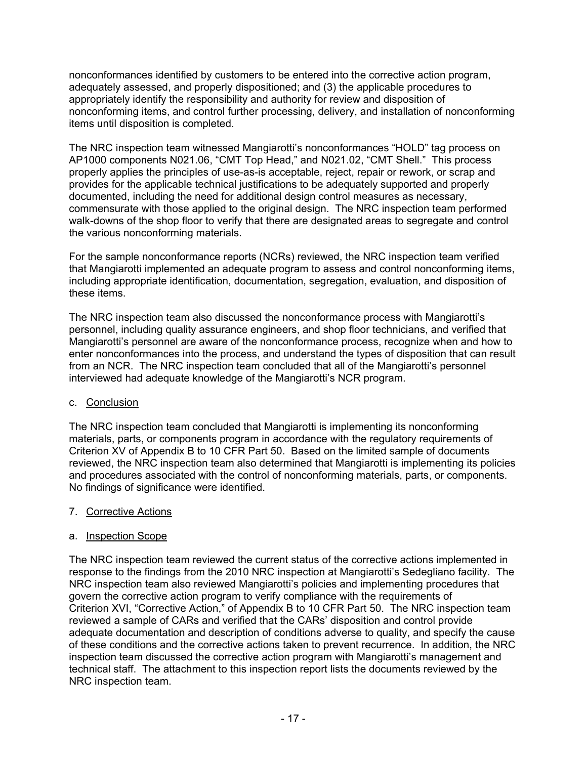nonconformances identified by customers to be entered into the corrective action program, adequately assessed, and properly dispositioned; and (3) the applicable procedures to appropriately identify the responsibility and authority for review and disposition of nonconforming items, and control further processing, delivery, and installation of nonconforming items until disposition is completed.

The NRC inspection team witnessed Mangiarotti's nonconformances "HOLD" tag process on AP1000 components N021.06, "CMT Top Head," and N021.02, "CMT Shell." This process properly applies the principles of use-as-is acceptable, reject, repair or rework, or scrap and provides for the applicable technical justifications to be adequately supported and properly documented, including the need for additional design control measures as necessary, commensurate with those applied to the original design. The NRC inspection team performed walk-downs of the shop floor to verify that there are designated areas to segregate and control the various nonconforming materials.

For the sample nonconformance reports (NCRs) reviewed, the NRC inspection team verified that Mangiarotti implemented an adequate program to assess and control nonconforming items, including appropriate identification, documentation, segregation, evaluation, and disposition of these items.

The NRC inspection team also discussed the nonconformance process with Mangiarotti's personnel, including quality assurance engineers, and shop floor technicians, and verified that Mangiarotti's personnel are aware of the nonconformance process, recognize when and how to enter nonconformances into the process, and understand the types of disposition that can result from an NCR. The NRC inspection team concluded that all of the Mangiarotti's personnel interviewed had adequate knowledge of the Mangiarotti's NCR program.

# c. Conclusion

The NRC inspection team concluded that Mangiarotti is implementing its nonconforming materials, parts, or components program in accordance with the regulatory requirements of Criterion XV of Appendix B to 10 CFR Part 50. Based on the limited sample of documents reviewed, the NRC inspection team also determined that Mangiarotti is implementing its policies and procedures associated with the control of nonconforming materials, parts, or components. No findings of significance were identified.

#### 7. Corrective Actions

# a. Inspection Scope

The NRC inspection team reviewed the current status of the corrective actions implemented in response to the findings from the 2010 NRC inspection at Mangiarotti's Sedegliano facility. The NRC inspection team also reviewed Mangiarotti's policies and implementing procedures that govern the corrective action program to verify compliance with the requirements of Criterion XVI, "Corrective Action," of Appendix B to 10 CFR Part 50. The NRC inspection team reviewed a sample of CARs and verified that the CARs' disposition and control provide adequate documentation and description of conditions adverse to quality, and specify the cause of these conditions and the corrective actions taken to prevent recurrence. In addition, the NRC inspection team discussed the corrective action program with Mangiarotti's management and technical staff. The attachment to this inspection report lists the documents reviewed by the NRC inspection team.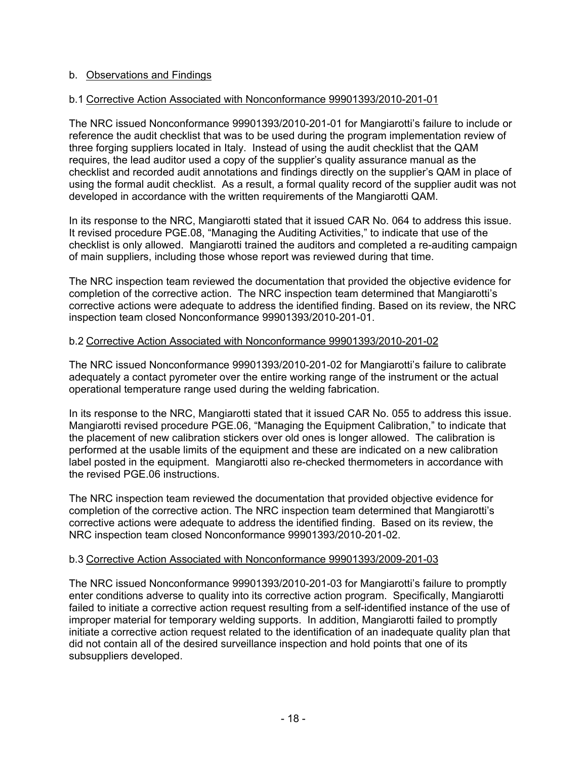#### b. Observations and Findings

#### b.1 Corrective Action Associated with Nonconformance 99901393/2010-201-01

The NRC issued Nonconformance 99901393/2010-201-01 for Mangiarotti's failure to include or reference the audit checklist that was to be used during the program implementation review of three forging suppliers located in Italy. Instead of using the audit checklist that the QAM requires, the lead auditor used a copy of the supplier's quality assurance manual as the checklist and recorded audit annotations and findings directly on the supplier's QAM in place of using the formal audit checklist. As a result, a formal quality record of the supplier audit was not developed in accordance with the written requirements of the Mangiarotti QAM.

In its response to the NRC, Mangiarotti stated that it issued CAR No. 064 to address this issue. It revised procedure PGE.08, "Managing the Auditing Activities," to indicate that use of the checklist is only allowed. Mangiarotti trained the auditors and completed a re-auditing campaign of main suppliers, including those whose report was reviewed during that time.

The NRC inspection team reviewed the documentation that provided the objective evidence for completion of the corrective action. The NRC inspection team determined that Mangiarotti's corrective actions were adequate to address the identified finding. Based on its review, the NRC inspection team closed Nonconformance 99901393/2010-201-01.

#### b.2 Corrective Action Associated with Nonconformance 99901393/2010-201-02

The NRC issued Nonconformance 99901393/2010-201-02 for Mangiarotti's failure to calibrate adequately a contact pyrometer over the entire working range of the instrument or the actual operational temperature range used during the welding fabrication.

In its response to the NRC, Mangiarotti stated that it issued CAR No. 055 to address this issue. Mangiarotti revised procedure PGE.06, "Managing the Equipment Calibration," to indicate that the placement of new calibration stickers over old ones is longer allowed. The calibration is performed at the usable limits of the equipment and these are indicated on a new calibration label posted in the equipment. Mangiarotti also re-checked thermometers in accordance with the revised PGE.06 instructions.

The NRC inspection team reviewed the documentation that provided objective evidence for completion of the corrective action. The NRC inspection team determined that Mangiarotti's corrective actions were adequate to address the identified finding. Based on its review, the NRC inspection team closed Nonconformance 99901393/2010-201-02.

#### b.3 Corrective Action Associated with Nonconformance 99901393/2009-201-03

The NRC issued Nonconformance 99901393/2010-201-03 for Mangiarotti's failure to promptly enter conditions adverse to quality into its corrective action program. Specifically, Mangiarotti failed to initiate a corrective action request resulting from a self-identified instance of the use of improper material for temporary welding supports. In addition, Mangiarotti failed to promptly initiate a corrective action request related to the identification of an inadequate quality plan that did not contain all of the desired surveillance inspection and hold points that one of its subsuppliers developed.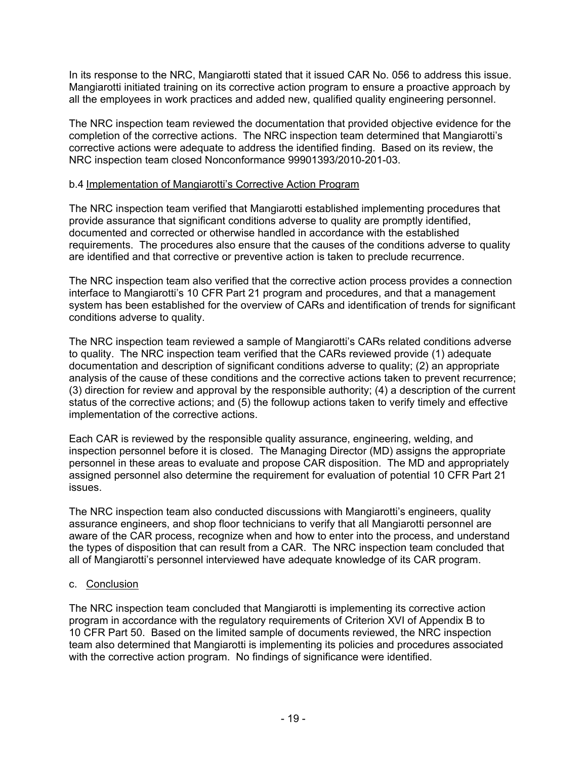In its response to the NRC, Mangiarotti stated that it issued CAR No. 056 to address this issue. Mangiarotti initiated training on its corrective action program to ensure a proactive approach by all the employees in work practices and added new, qualified quality engineering personnel.

The NRC inspection team reviewed the documentation that provided objective evidence for the completion of the corrective actions. The NRC inspection team determined that Mangiarotti's corrective actions were adequate to address the identified finding. Based on its review, the NRC inspection team closed Nonconformance 99901393/2010-201-03.

#### b.4 Implementation of Mangiarotti's Corrective Action Program

The NRC inspection team verified that Mangiarotti established implementing procedures that provide assurance that significant conditions adverse to quality are promptly identified, documented and corrected or otherwise handled in accordance with the established requirements. The procedures also ensure that the causes of the conditions adverse to quality are identified and that corrective or preventive action is taken to preclude recurrence.

The NRC inspection team also verified that the corrective action process provides a connection interface to Mangiarotti's 10 CFR Part 21 program and procedures, and that a management system has been established for the overview of CARs and identification of trends for significant conditions adverse to quality.

The NRC inspection team reviewed a sample of Mangiarotti's CARs related conditions adverse to quality. The NRC inspection team verified that the CARs reviewed provide (1) adequate documentation and description of significant conditions adverse to quality; (2) an appropriate analysis of the cause of these conditions and the corrective actions taken to prevent recurrence; (3) direction for review and approval by the responsible authority; (4) a description of the current status of the corrective actions; and (5) the followup actions taken to verify timely and effective implementation of the corrective actions.

Each CAR is reviewed by the responsible quality assurance, engineering, welding, and inspection personnel before it is closed. The Managing Director (MD) assigns the appropriate personnel in these areas to evaluate and propose CAR disposition. The MD and appropriately assigned personnel also determine the requirement for evaluation of potential 10 CFR Part 21 issues.

The NRC inspection team also conducted discussions with Mangiarotti's engineers, quality assurance engineers, and shop floor technicians to verify that all Mangiarotti personnel are aware of the CAR process, recognize when and how to enter into the process, and understand the types of disposition that can result from a CAR. The NRC inspection team concluded that all of Mangiarotti's personnel interviewed have adequate knowledge of its CAR program.

# c. Conclusion

The NRC inspection team concluded that Mangiarotti is implementing its corrective action program in accordance with the regulatory requirements of Criterion XVI of Appendix B to 10 CFR Part 50. Based on the limited sample of documents reviewed, the NRC inspection team also determined that Mangiarotti is implementing its policies and procedures associated with the corrective action program. No findings of significance were identified.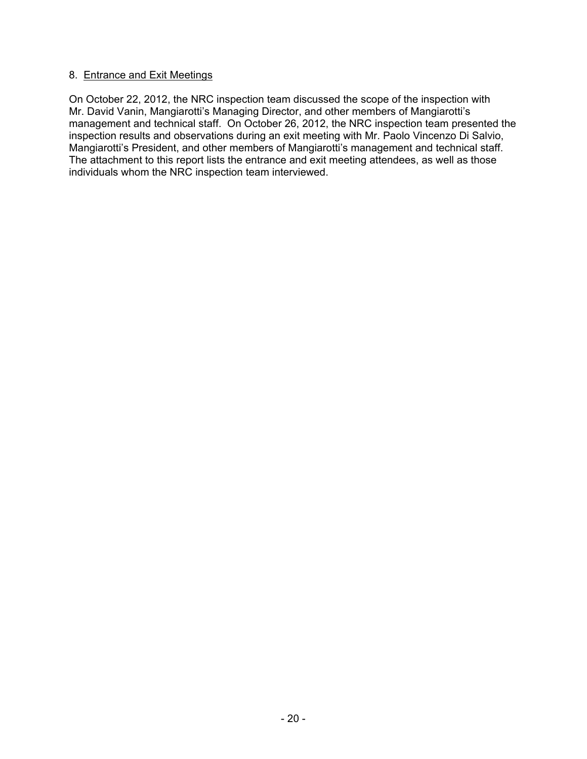#### 8. Entrance and Exit Meetings

On October 22, 2012, the NRC inspection team discussed the scope of the inspection with Mr. David Vanin, Mangiarotti's Managing Director, and other members of Mangiarotti's management and technical staff. On October 26, 2012, the NRC inspection team presented the inspection results and observations during an exit meeting with Mr. Paolo Vincenzo Di Salvio, Mangiarotti's President, and other members of Mangiarotti's management and technical staff. The attachment to this report lists the entrance and exit meeting attendees, as well as those individuals whom the NRC inspection team interviewed.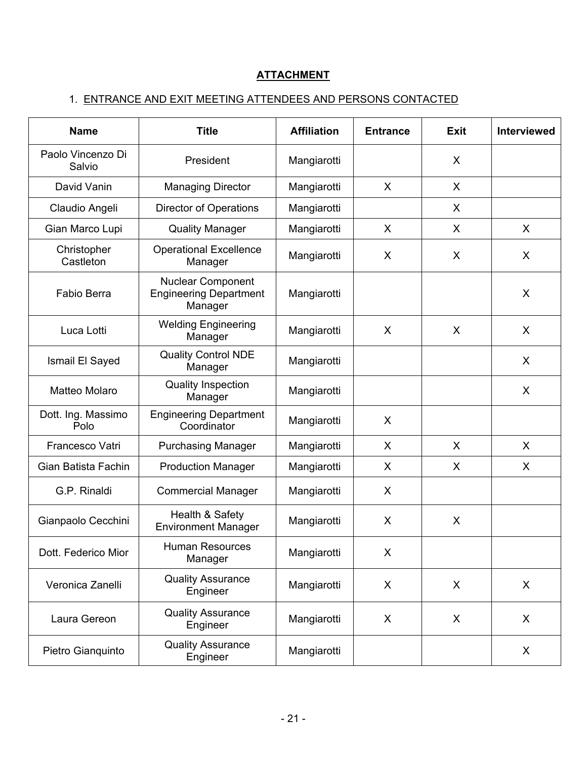# **ATTACHMENT**

# 1. ENTRANCE AND EXIT MEETING ATTENDEES AND PERSONS CONTACTED

| <b>Name</b>                 | <b>Title</b>                                                         | <b>Affiliation</b> | <b>Entrance</b> | <b>Exit</b> | <b>Interviewed</b> |
|-----------------------------|----------------------------------------------------------------------|--------------------|-----------------|-------------|--------------------|
| Paolo Vincenzo Di<br>Salvio | President                                                            | Mangiarotti        |                 | X           |                    |
| David Vanin                 | <b>Managing Director</b>                                             | Mangiarotti        | X               | X           |                    |
| Claudio Angeli              | <b>Director of Operations</b>                                        | Mangiarotti        |                 | X           |                    |
| Gian Marco Lupi             | <b>Quality Manager</b>                                               | Mangiarotti        | X               | X           | X                  |
| Christopher<br>Castleton    | <b>Operational Excellence</b><br>Manager                             | Mangiarotti        | X               | X           | X                  |
| Fabio Berra                 | <b>Nuclear Component</b><br><b>Engineering Department</b><br>Manager | Mangiarotti        |                 |             | X                  |
| Luca Lotti                  | <b>Welding Engineering</b><br>Manager                                | Mangiarotti        | X               | X           | X                  |
| Ismail El Sayed             | <b>Quality Control NDE</b><br>Manager                                | Mangiarotti        |                 |             | X                  |
| Matteo Molaro               | <b>Quality Inspection</b><br>Manager                                 | Mangiarotti        |                 |             | X                  |
| Dott. Ing. Massimo<br>Polo  | <b>Engineering Department</b><br>Coordinator                         | Mangiarotti        | X               |             |                    |
| Francesco Vatri             | <b>Purchasing Manager</b>                                            | Mangiarotti        | X               | X           | X                  |
| Gian Batista Fachin         | <b>Production Manager</b>                                            | Mangiarotti        | X               | X           | X                  |
| G.P. Rinaldi                | <b>Commercial Manager</b>                                            | Mangiarotti        | X               |             |                    |
| Gianpaolo Cecchini          | Health & Safety<br><b>Environment Manager</b>                        | Mangiarotti        | X               | X           |                    |
| Dott. Federico Mior         | <b>Human Resources</b><br>Manager                                    | Mangiarotti        | X               |             |                    |
| Veronica Zanelli            | <b>Quality Assurance</b><br>Engineer                                 | Mangiarotti        | X               | X           | X                  |
| Laura Gereon                | <b>Quality Assurance</b><br>Engineer                                 | Mangiarotti        | X               | X           | X                  |
| Pietro Gianquinto           | <b>Quality Assurance</b><br>Engineer                                 | Mangiarotti        |                 |             | X                  |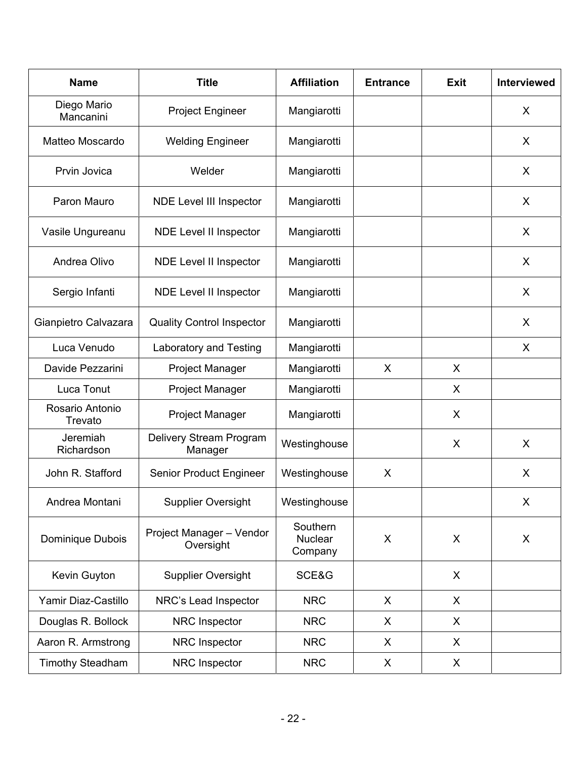| <b>Name</b>                | <b>Title</b>                          | <b>Affiliation</b>             | <b>Entrance</b> | <b>Exit</b>    | <b>Interviewed</b> |
|----------------------------|---------------------------------------|--------------------------------|-----------------|----------------|--------------------|
| Diego Mario<br>Mancanini   | <b>Project Engineer</b>               | Mangiarotti                    |                 |                | X                  |
| Matteo Moscardo            | <b>Welding Engineer</b>               | Mangiarotti                    |                 |                | X                  |
| Prvin Jovica               | Welder                                | Mangiarotti                    |                 |                | X                  |
| Paron Mauro                | <b>NDE Level III Inspector</b>        | Mangiarotti                    |                 |                | X                  |
| Vasile Ungureanu           | NDE Level II Inspector                | Mangiarotti                    |                 |                | X                  |
| Andrea Olivo               | <b>NDE Level II Inspector</b>         | Mangiarotti                    |                 |                | X                  |
| Sergio Infanti             | NDE Level II Inspector                | Mangiarotti                    |                 |                | X                  |
| Gianpietro Calvazara       | <b>Quality Control Inspector</b>      | Mangiarotti                    |                 |                | X                  |
| Luca Venudo                | Laboratory and Testing                | Mangiarotti                    |                 |                | X                  |
| Davide Pezzarini           | <b>Project Manager</b>                | Mangiarotti                    | X               | X              |                    |
| Luca Tonut                 | <b>Project Manager</b>                | Mangiarotti                    |                 | X              |                    |
| Rosario Antonio<br>Trevato | <b>Project Manager</b>                | Mangiarotti                    |                 | X              |                    |
| Jeremiah<br>Richardson     | Delivery Stream Program<br>Manager    | Westinghouse                   |                 | X              | X                  |
| John R. Stafford           | Senior Product Engineer               | Westinghouse                   | X               |                | X                  |
| Andrea Montani             | <b>Supplier Oversight</b>             | Westinghouse                   |                 |                | X                  |
| Dominique Dubois           | Project Manager - Vendor<br>Oversight | Southern<br>Nuclear<br>Company | X               | $\pmb{\times}$ | X                  |
| Kevin Guyton               | <b>Supplier Oversight</b>             | SCE&G                          |                 | X              |                    |
| Yamir Diaz-Castillo        | NRC's Lead Inspector                  | <b>NRC</b>                     | X               | X              |                    |
| Douglas R. Bollock         | NRC Inspector                         | <b>NRC</b>                     | X               | X              |                    |
| Aaron R. Armstrong         | NRC Inspector                         | <b>NRC</b>                     | X               | X              |                    |
| <b>Timothy Steadham</b>    | NRC Inspector                         | <b>NRC</b>                     | X               | X              |                    |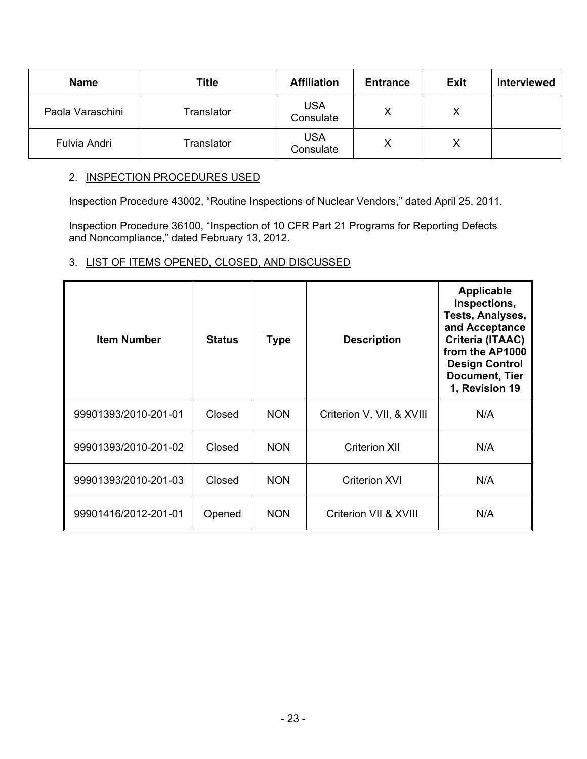| <b>Name</b>      | <b>Title</b> | <b>Affiliation</b>      | <b>Entrance</b> | <b>Exit</b> | <b>Interviewed</b> |
|------------------|--------------|-------------------------|-----------------|-------------|--------------------|
| Paola Varaschini | Translator   | <b>USA</b><br>Consulate | Χ               | Χ           |                    |
| Fulvia Andri     | Translator   | <b>USA</b><br>Consulate | Х               | Χ           |                    |

# 2. INSPECTION PROCEDURES USED

Inspection Procedure 43002, "Routine Inspections of Nuclear Vendors," dated April 25, 2011.

Inspection Procedure 36100, "Inspection of 10 CFR Part 21 Programs for Reporting Defects and Noncompliance," dated February 13, 2012.

# 3. LIST OF ITEMS OPENED, CLOSED, AND DISCUSSED

| <b>Item Number</b>   | <b>Status</b> | <b>Type</b> | <b>Description</b>        | Applicable<br>Inspections,<br>Tests, Analyses,<br>and Acceptance<br>Criteria (ITAAC)<br>from the AP1000<br><b>Design Control</b><br><b>Document, Tier</b><br>1, Revision 19 |
|----------------------|---------------|-------------|---------------------------|-----------------------------------------------------------------------------------------------------------------------------------------------------------------------------|
| 99901393/2010-201-01 | Closed        | <b>NON</b>  | Criterion V, VII, & XVIII | N/A                                                                                                                                                                         |
| 99901393/2010-201-02 | Closed        | <b>NON</b>  | <b>Criterion XII</b>      | N/A                                                                                                                                                                         |
| 99901393/2010-201-03 | Closed        | <b>NON</b>  | <b>Criterion XVI</b>      | N/A                                                                                                                                                                         |
| 99901416/2012-201-01 | Opened        | <b>NON</b>  | Criterion VII & XVIII     | N/A                                                                                                                                                                         |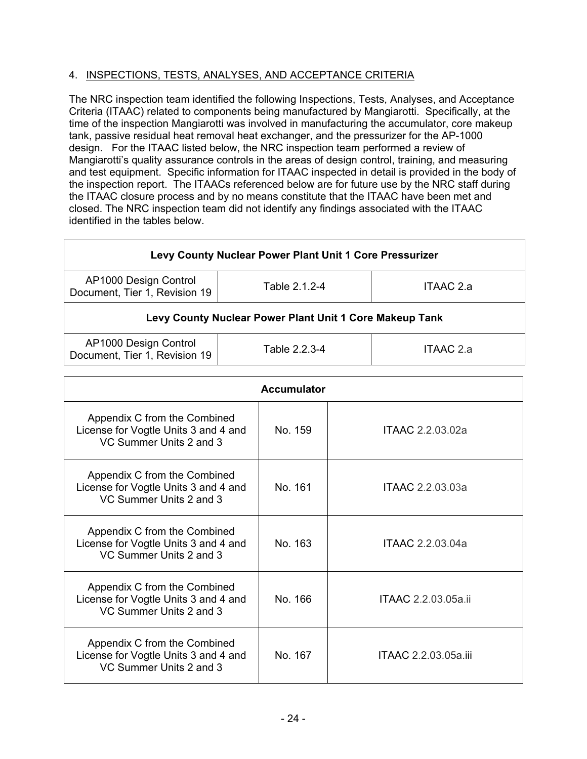# 4. INSPECTIONS, TESTS, ANALYSES, AND ACCEPTANCE CRITERIA

The NRC inspection team identified the following Inspections, Tests, Analyses, and Acceptance Criteria (ITAAC) related to components being manufactured by Mangiarotti. Specifically, at the time of the inspection Mangiarotti was involved in manufacturing the accumulator, core makeup tank, passive residual heat removal heat exchanger, and the pressurizer for the AP-1000 design. For the ITAAC listed below, the NRC inspection team performed a review of Mangiarotti's quality assurance controls in the areas of design control, training, and measuring and test equipment. Specific information for ITAAC inspected in detail is provided in the body of the inspection report. The ITAACs referenced below are for future use by the NRC staff during the ITAAC closure process and by no means constitute that the ITAAC have been met and closed. The NRC inspection team did not identify any findings associated with the ITAAC identified in the tables below.

| Levy County Nuclear Power Plant Unit 1 Core Pressurizer                              |               |           |  |  |  |  |
|--------------------------------------------------------------------------------------|---------------|-----------|--|--|--|--|
| AP1000 Design Control<br>Table 2.1.2-4<br>ITAAC 2.a<br>Document, Tier 1, Revision 19 |               |           |  |  |  |  |
| Levy County Nuclear Power Plant Unit 1 Core Makeup Tank                              |               |           |  |  |  |  |
| AP1000 Design Control<br>Document, Tier 1, Revision 19                               | Table 2.2.3-4 | ITAAC 2.a |  |  |  |  |

| <b>Accumulator</b>                                                                              |         |                      |  |  |  |
|-------------------------------------------------------------------------------------------------|---------|----------------------|--|--|--|
| Appendix C from the Combined<br>License for Vogtle Units 3 and 4 and<br>VC Summer Units 2 and 3 | No. 159 | ITAAC 2.2.03.02a     |  |  |  |
| Appendix C from the Combined<br>License for Vogtle Units 3 and 4 and<br>VC Summer Units 2 and 3 | No. 161 | ITAAC 2.2.03.03a     |  |  |  |
| Appendix C from the Combined<br>License for Vogtle Units 3 and 4 and<br>VC Summer Units 2 and 3 | No. 163 | ITAAC 2.2.03.04a     |  |  |  |
| Appendix C from the Combined<br>License for Vogtle Units 3 and 4 and<br>VC Summer Units 2 and 3 | No. 166 | ITAAC 2.2.03.05a.ii  |  |  |  |
| Appendix C from the Combined<br>License for Vogtle Units 3 and 4 and<br>VC Summer Units 2 and 3 | No. 167 | ITAAC 2.2.03.05a.iii |  |  |  |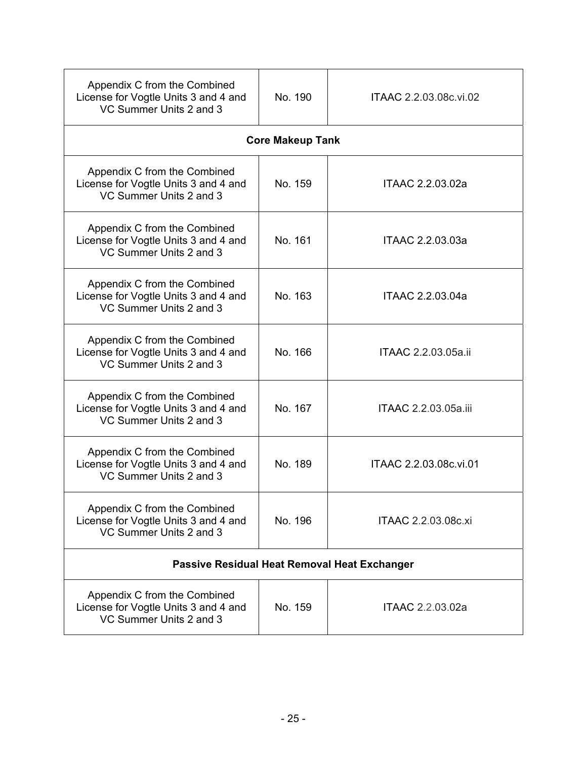| Appendix C from the Combined<br>License for Vogtle Units 3 and 4 and<br>VC Summer Units 2 and 3 | No. 190                 | ITAAC 2.2.03.08c.vi.02 |  |  |
|-------------------------------------------------------------------------------------------------|-------------------------|------------------------|--|--|
|                                                                                                 | <b>Core Makeup Tank</b> |                        |  |  |
| Appendix C from the Combined<br>License for Vogtle Units 3 and 4 and<br>VC Summer Units 2 and 3 | No. 159                 | ITAAC 2.2.03.02a       |  |  |
| Appendix C from the Combined<br>License for Vogtle Units 3 and 4 and<br>VC Summer Units 2 and 3 | No. 161                 | ITAAC 2.2.03.03a       |  |  |
| Appendix C from the Combined<br>License for Vogtle Units 3 and 4 and<br>VC Summer Units 2 and 3 | No. 163                 | ITAAC 2.2.03.04a       |  |  |
| Appendix C from the Combined<br>License for Vogtle Units 3 and 4 and<br>VC Summer Units 2 and 3 | No. 166                 | ITAAC 2.2.03.05a.ii    |  |  |
| Appendix C from the Combined<br>License for Vogtle Units 3 and 4 and<br>VC Summer Units 2 and 3 | No. 167                 | ITAAC 2.2.03.05a.iii   |  |  |
| Appendix C from the Combined<br>License for Vogtle Units 3 and 4 and<br>VC Summer Units 2 and 3 | No. 189                 | ITAAC 2.2.03.08c.vi.01 |  |  |
| Appendix C from the Combined<br>License for Vogtle Units 3 and 4 and<br>VC Summer Units 2 and 3 | No. 196                 | ITAAC 2.2.03.08c.xi    |  |  |
| <b>Passive Residual Heat Removal Heat Exchanger</b>                                             |                         |                        |  |  |
| Appendix C from the Combined<br>License for Vogtle Units 3 and 4 and<br>VC Summer Units 2 and 3 | No. 159                 | ITAAC 2.2.03.02a       |  |  |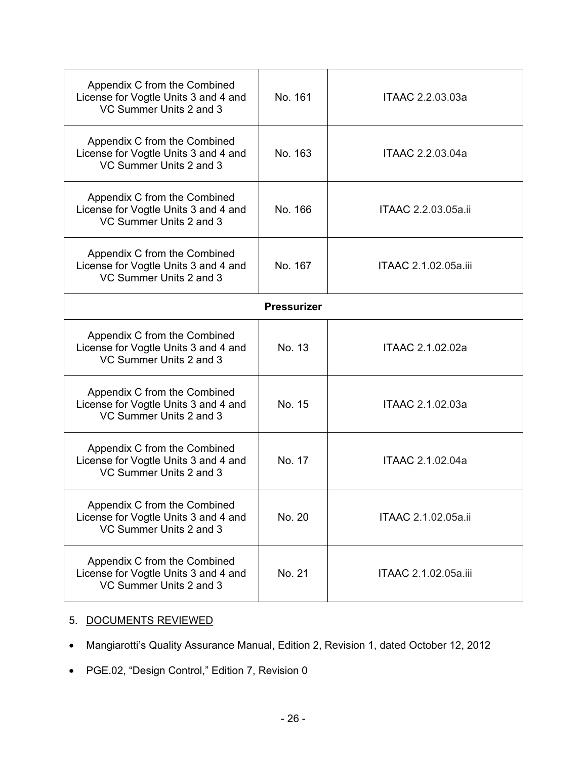| Appendix C from the Combined<br>License for Vogtle Units 3 and 4 and<br>VC Summer Units 2 and 3 | No. 161 | ITAAC 2.2.03.03a     |  |  |  |
|-------------------------------------------------------------------------------------------------|---------|----------------------|--|--|--|
| Appendix C from the Combined<br>License for Vogtle Units 3 and 4 and<br>VC Summer Units 2 and 3 | No. 163 | ITAAC 2.2.03.04a     |  |  |  |
| Appendix C from the Combined<br>License for Vogtle Units 3 and 4 and<br>VC Summer Units 2 and 3 | No. 166 | ITAAC 2.2.03.05a.ii  |  |  |  |
| Appendix C from the Combined<br>License for Vogtle Units 3 and 4 and<br>VC Summer Units 2 and 3 | No. 167 | ITAAC 2.1.02.05a.iii |  |  |  |
| <b>Pressurizer</b>                                                                              |         |                      |  |  |  |
| Appendix C from the Combined<br>License for Vogtle Units 3 and 4 and<br>VC Summer Units 2 and 3 | No. 13  | ITAAC 2.1.02.02a     |  |  |  |
| Appendix C from the Combined<br>License for Vogtle Units 3 and 4 and<br>VC Summer Units 2 and 3 | No. 15  | ITAAC 2.1.02.03a     |  |  |  |
| Appendix C from the Combined<br>License for Vogtle Units 3 and 4 and<br>VC Summer Units 2 and 3 | No. 17  | ITAAC 2.1.02.04a     |  |  |  |
| Appendix C from the Combined<br>License for Vogtle Units 3 and 4 and<br>VC Summer Units 2 and 3 | No. 20  | ITAAC 2.1.02.05a.ii  |  |  |  |
| Appendix C from the Combined<br>License for Vogtle Units 3 and 4 and<br>VC Summer Units 2 and 3 | No. 21  | ITAAC 2.1.02.05a.iii |  |  |  |

# 5. DOCUMENTS REVIEWED

- Mangiarotti's Quality Assurance Manual, Edition 2, Revision 1, dated October 12, 2012
- PGE.02, "Design Control," Edition 7, Revision 0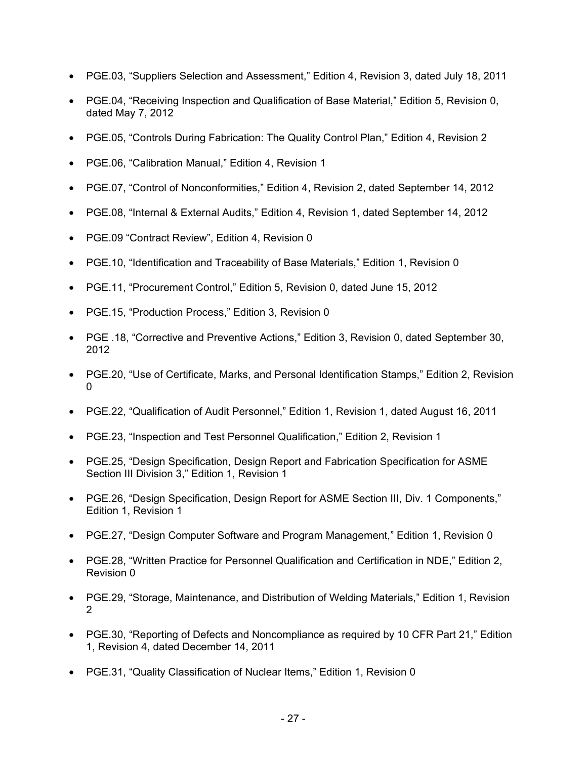- PGE.03, "Suppliers Selection and Assessment," Edition 4, Revision 3, dated July 18, 2011
- PGE.04, "Receiving Inspection and Qualification of Base Material," Edition 5, Revision 0, dated May 7, 2012
- PGE.05, "Controls During Fabrication: The Quality Control Plan," Edition 4, Revision 2
- PGE.06, "Calibration Manual," Edition 4, Revision 1
- PGE.07, "Control of Nonconformities," Edition 4, Revision 2, dated September 14, 2012
- PGE.08, "Internal & External Audits," Edition 4, Revision 1, dated September 14, 2012
- PGE.09 "Contract Review", Edition 4, Revision 0
- PGE.10, "Identification and Traceability of Base Materials," Edition 1, Revision 0
- PGE.11, "Procurement Control," Edition 5, Revision 0, dated June 15, 2012
- PGE.15, "Production Process," Edition 3, Revision 0
- PGE .18, "Corrective and Preventive Actions," Edition 3, Revision 0, dated September 30, 2012
- PGE.20, "Use of Certificate, Marks, and Personal Identification Stamps," Edition 2, Revision 0
- PGE.22, "Qualification of Audit Personnel," Edition 1, Revision 1, dated August 16, 2011
- PGE.23, "Inspection and Test Personnel Qualification," Edition 2, Revision 1
- PGE.25, "Design Specification, Design Report and Fabrication Specification for ASME Section III Division 3," Edition 1, Revision 1
- PGE.26, "Design Specification, Design Report for ASME Section III, Div. 1 Components," Edition 1, Revision 1
- PGE.27, "Design Computer Software and Program Management," Edition 1, Revision 0
- PGE.28, "Written Practice for Personnel Qualification and Certification in NDE," Edition 2, Revision 0
- PGE.29, "Storage, Maintenance, and Distribution of Welding Materials," Edition 1, Revision 2
- PGE.30, "Reporting of Defects and Noncompliance as required by 10 CFR Part 21." Edition 1, Revision 4, dated December 14, 2011
- PGE.31, "Quality Classification of Nuclear Items," Edition 1, Revision 0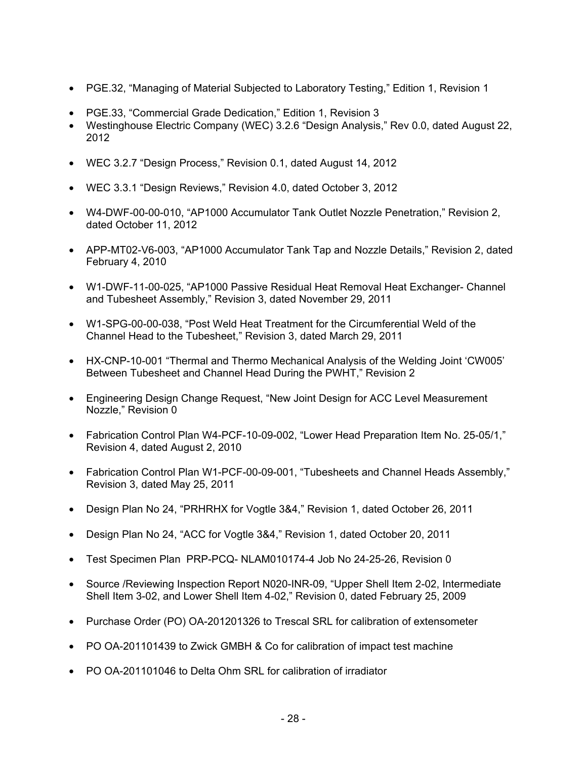- PGE.32, "Managing of Material Subjected to Laboratory Testing," Edition 1, Revision 1
- PGE.33, "Commercial Grade Dedication," Edition 1, Revision 3
- Westinghouse Electric Company (WEC) 3.2.6 "Design Analysis," Rev 0.0, dated August 22, 2012
- WEC 3.2.7 "Design Process," Revision 0.1, dated August 14, 2012
- WEC 3.3.1 "Design Reviews," Revision 4.0, dated October 3, 2012
- W4-DWF-00-00-010, "AP1000 Accumulator Tank Outlet Nozzle Penetration," Revision 2, dated October 11, 2012
- APP-MT02-V6-003, "AP1000 Accumulator Tank Tap and Nozzle Details," Revision 2, dated February 4, 2010
- W1-DWF-11-00-025, "AP1000 Passive Residual Heat Removal Heat Exchanger- Channel and Tubesheet Assembly," Revision 3, dated November 29, 2011
- W1-SPG-00-00-038, "Post Weld Heat Treatment for the Circumferential Weld of the Channel Head to the Tubesheet," Revision 3, dated March 29, 2011
- HX-CNP-10-001 "Thermal and Thermo Mechanical Analysis of the Welding Joint 'CW005' Between Tubesheet and Channel Head During the PWHT," Revision 2
- Engineering Design Change Request, "New Joint Design for ACC Level Measurement Nozzle," Revision 0
- Fabrication Control Plan W4-PCF-10-09-002, "Lower Head Preparation Item No. 25-05/1," Revision 4, dated August 2, 2010
- Fabrication Control Plan W1-PCF-00-09-001, "Tubesheets and Channel Heads Assembly," Revision 3, dated May 25, 2011
- Design Plan No 24, "PRHRHX for Vogtle 3&4," Revision 1, dated October 26, 2011
- Design Plan No 24, "ACC for Vogtle 3&4," Revision 1, dated October 20, 2011
- Test Specimen Plan PRP-PCQ- NLAM010174-4 Job No 24-25-26, Revision 0
- Source /Reviewing Inspection Report N020-INR-09, "Upper Shell Item 2-02, Intermediate Shell Item 3-02, and Lower Shell Item 4-02," Revision 0, dated February 25, 2009
- Purchase Order (PO) OA-201201326 to Trescal SRL for calibration of extensometer
- PO OA-201101439 to Zwick GMBH & Co for calibration of impact test machine
- PO OA-201101046 to Delta Ohm SRL for calibration of irradiator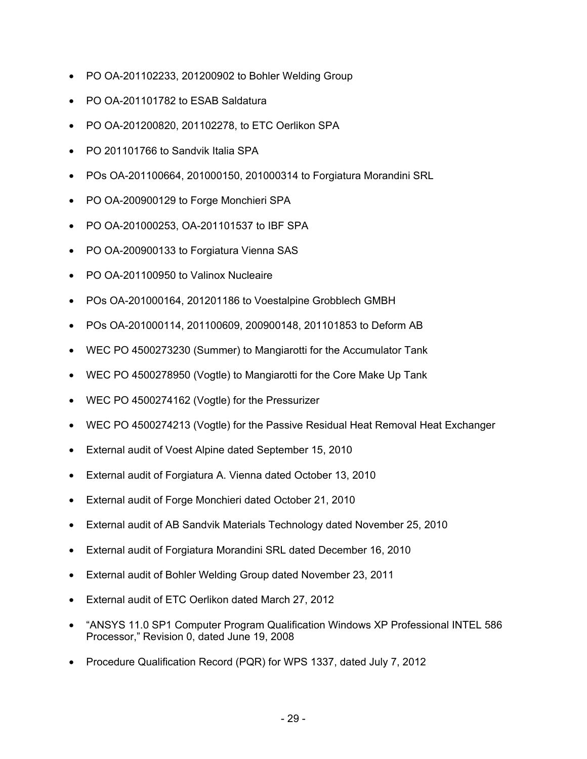- PO OA-201102233, 201200902 to Bohler Welding Group
- PO OA-201101782 to ESAB Saldatura
- PO OA-201200820, 201102278, to ETC Oerlikon SPA
- PO 201101766 to Sandvik Italia SPA
- POs OA-201100664, 201000150, 201000314 to Forgiatura Morandini SRL
- PO OA-200900129 to Forge Monchieri SPA
- PO OA-201000253, OA-201101537 to IBF SPA
- PO OA-200900133 to Forgiatura Vienna SAS
- PO OA-201100950 to Valinox Nucleaire
- POs OA-201000164, 201201186 to Voestalpine Grobblech GMBH
- POs OA-201000114, 201100609, 200900148, 201101853 to Deform AB
- WEC PO 4500273230 (Summer) to Mangiarotti for the Accumulator Tank
- WEC PO 4500278950 (Vogtle) to Mangiarotti for the Core Make Up Tank
- WEC PO 4500274162 (Vogtle) for the Pressurizer
- WEC PO 4500274213 (Vogtle) for the Passive Residual Heat Removal Heat Exchanger
- External audit of Voest Alpine dated September 15, 2010
- External audit of Forgiatura A. Vienna dated October 13, 2010
- External audit of Forge Monchieri dated October 21, 2010
- External audit of AB Sandvik Materials Technology dated November 25, 2010
- External audit of Forgiatura Morandini SRL dated December 16, 2010
- External audit of Bohler Welding Group dated November 23, 2011
- External audit of ETC Oerlikon dated March 27, 2012
- "ANSYS 11.0 SP1 Computer Program Qualification Windows XP Professional INTEL 586 Processor," Revision 0, dated June 19, 2008
- Procedure Qualification Record (PQR) for WPS 1337, dated July 7, 2012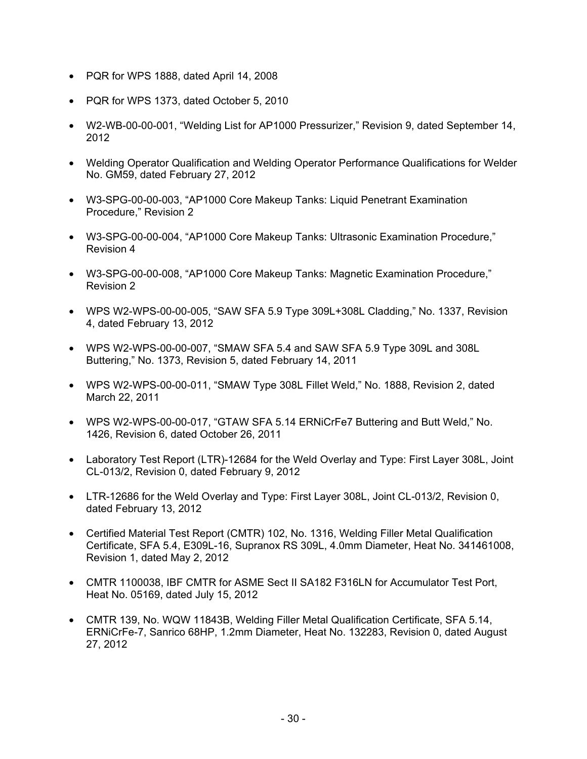- PQR for WPS 1888, dated April 14, 2008
- PQR for WPS 1373, dated October 5, 2010
- W2-WB-00-00-001, "Welding List for AP1000 Pressurizer," Revision 9, dated September 14, 2012
- Welding Operator Qualification and Welding Operator Performance Qualifications for Welder No. GM59, dated February 27, 2012
- W3-SPG-00-00-003, "AP1000 Core Makeup Tanks: Liquid Penetrant Examination Procedure," Revision 2
- W3-SPG-00-00-004, "AP1000 Core Makeup Tanks: Ultrasonic Examination Procedure," Revision 4
- W3-SPG-00-00-008, "AP1000 Core Makeup Tanks: Magnetic Examination Procedure," Revision 2
- WPS W2-WPS-00-00-005, "SAW SFA 5.9 Type 309L+308L Cladding," No. 1337, Revision 4, dated February 13, 2012
- WPS W2-WPS-00-00-007, "SMAW SFA 5.4 and SAW SFA 5.9 Type 309L and 308L Buttering," No. 1373, Revision 5, dated February 14, 2011
- WPS W2-WPS-00-00-011, "SMAW Type 308L Fillet Weld," No. 1888, Revision 2, dated March 22, 2011
- WPS W2-WPS-00-00-017, "GTAW SFA 5.14 ERNiCrFe7 Buttering and Butt Weld," No. 1426, Revision 6, dated October 26, 2011
- Laboratory Test Report (LTR)-12684 for the Weld Overlay and Type: First Layer 308L, Joint CL-013/2, Revision 0, dated February 9, 2012
- LTR-12686 for the Weld Overlay and Type: First Layer 308L, Joint CL-013/2, Revision 0, dated February 13, 2012
- Certified Material Test Report (CMTR) 102, No. 1316, Welding Filler Metal Qualification Certificate, SFA 5.4, E309L-16, Supranox RS 309L, 4.0mm Diameter, Heat No. 341461008, Revision 1, dated May 2, 2012
- CMTR 1100038, IBF CMTR for ASME Sect II SA182 F316LN for Accumulator Test Port, Heat No. 05169, dated July 15, 2012
- CMTR 139, No. WQW 11843B, Welding Filler Metal Qualification Certificate, SFA 5.14, ERNiCrFe-7, Sanrico 68HP, 1.2mm Diameter, Heat No. 132283, Revision 0, dated August 27, 2012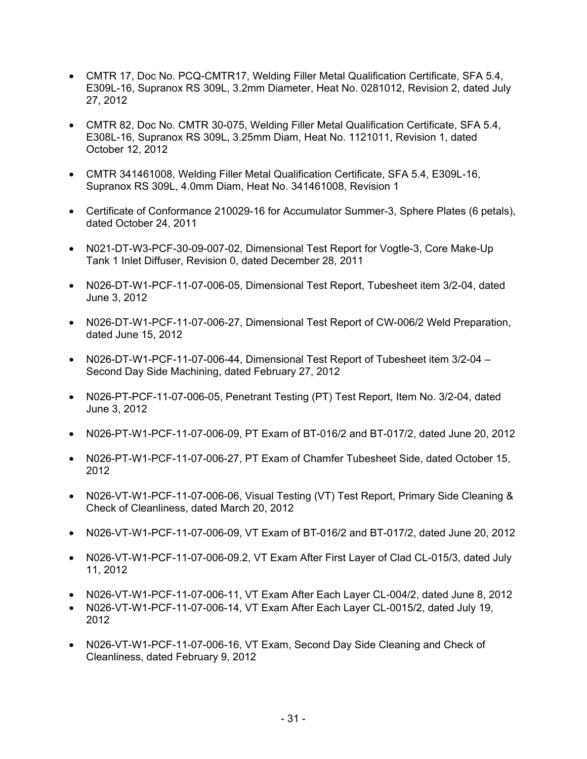- CMTR 17, Doc No. PCQ-CMTR17, Welding Filler Metal Qualification Certificate, SFA 5.4, E309L-16, Supranox RS 309L, 3.2mm Diameter, Heat No. 0281012, Revision 2, dated July 27, 2012
- CMTR 82, Doc No. CMTR 30-075, Welding Filler Metal Qualification Certificate, SFA 5.4, E308L-16, Supranox RS 309L, 3.25mm Diam, Heat No. 1121011, Revision 1, dated October 12, 2012
- CMTR 341461008, Welding Filler Metal Qualification Certificate, SFA 5.4, E309L-16, Supranox RS 309L, 4.0mm Diam, Heat No. 341461008, Revision 1
- Certificate of Conformance 210029-16 for Accumulator Summer-3, Sphere Plates (6 petals), dated October 24, 2011
- N021-DT-W3-PCF-30-09-007-02, Dimensional Test Report for Vogtle-3, Core Make-Up Tank 1 Inlet Diffuser, Revision 0, dated December 28, 2011
- N026-DT-W1-PCF-11-07-006-05, Dimensional Test Report, Tubesheet item 3/2-04, dated June 3, 2012
- N026-DT-W1-PCF-11-07-006-27, Dimensional Test Report of CW-006/2 Weld Preparation, dated June 15, 2012
- N026-DT-W1-PCF-11-07-006-44, Dimensional Test Report of Tubesheet item 3/2-04 Second Day Side Machining, dated February 27, 2012
- N026-PT-PCF-11-07-006-05, Penetrant Testing (PT) Test Report, Item No. 3/2-04, dated June 3, 2012
- N026-PT-W1-PCF-11-07-006-09, PT Exam of BT-016/2 and BT-017/2, dated June 20, 2012
- N026-PT-W1-PCF-11-07-006-27, PT Exam of Chamfer Tubesheet Side, dated October 15, 2012
- N026-VT-W1-PCF-11-07-006-06, Visual Testing (VT) Test Report, Primary Side Cleaning & Check of Cleanliness, dated March 20, 2012
- N026-VT-W1-PCF-11-07-006-09, VT Exam of BT-016/2 and BT-017/2, dated June 20, 2012
- N026-VT-W1-PCF-11-07-006-09.2, VT Exam After First Layer of Clad CL-015/3, dated July 11, 2012
- N026-VT-W1-PCF-11-07-006-11, VT Exam After Each Layer CL-004/2, dated June 8, 2012
- N026-VT-W1-PCF-11-07-006-14, VT Exam After Each Layer CL-0015/2, dated July 19, 2012
- N026-VT-W1-PCF-11-07-006-16, VT Exam, Second Day Side Cleaning and Check of Cleanliness, dated February 9, 2012